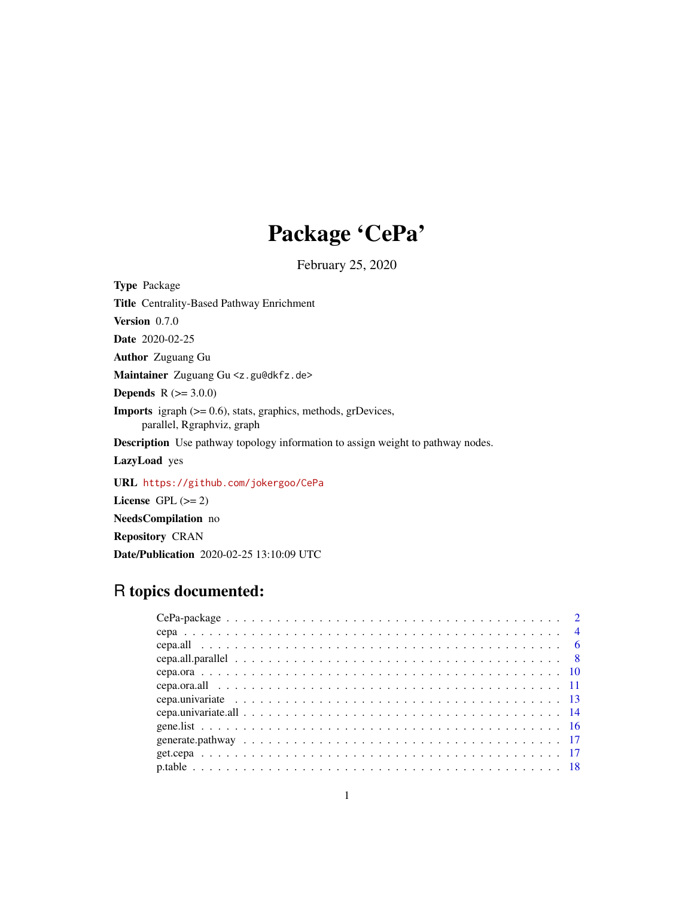## Package 'CePa'

February 25, 2020

<span id="page-0-0"></span>Type Package

Title Centrality-Based Pathway Enrichment

Version 0.7.0

Date 2020-02-25

Author Zuguang Gu

Maintainer Zuguang Gu <z.gu@dkfz.de>

**Depends**  $R (= 3.0.0)$ 

Imports igraph (>= 0.6), stats, graphics, methods, grDevices, parallel, Rgraphviz, graph

Description Use pathway topology information to assign weight to pathway nodes.

LazyLoad yes

URL <https://github.com/jokergoo/CePa>

License GPL  $(>= 2)$ 

NeedsCompilation no

Repository CRAN

Date/Publication 2020-02-25 13:10:09 UTC

## R topics documented:

| cepa.univariate.all $\ldots \ldots \ldots \ldots \ldots \ldots \ldots \ldots \ldots \ldots \ldots \ldots \ldots$ |  |  |  |  |  |  |  |  |  |  |  |  |  |  |  |  |  |  |  |  |
|------------------------------------------------------------------------------------------------------------------|--|--|--|--|--|--|--|--|--|--|--|--|--|--|--|--|--|--|--|--|
|                                                                                                                  |  |  |  |  |  |  |  |  |  |  |  |  |  |  |  |  |  |  |  |  |
|                                                                                                                  |  |  |  |  |  |  |  |  |  |  |  |  |  |  |  |  |  |  |  |  |
|                                                                                                                  |  |  |  |  |  |  |  |  |  |  |  |  |  |  |  |  |  |  |  |  |
|                                                                                                                  |  |  |  |  |  |  |  |  |  |  |  |  |  |  |  |  |  |  |  |  |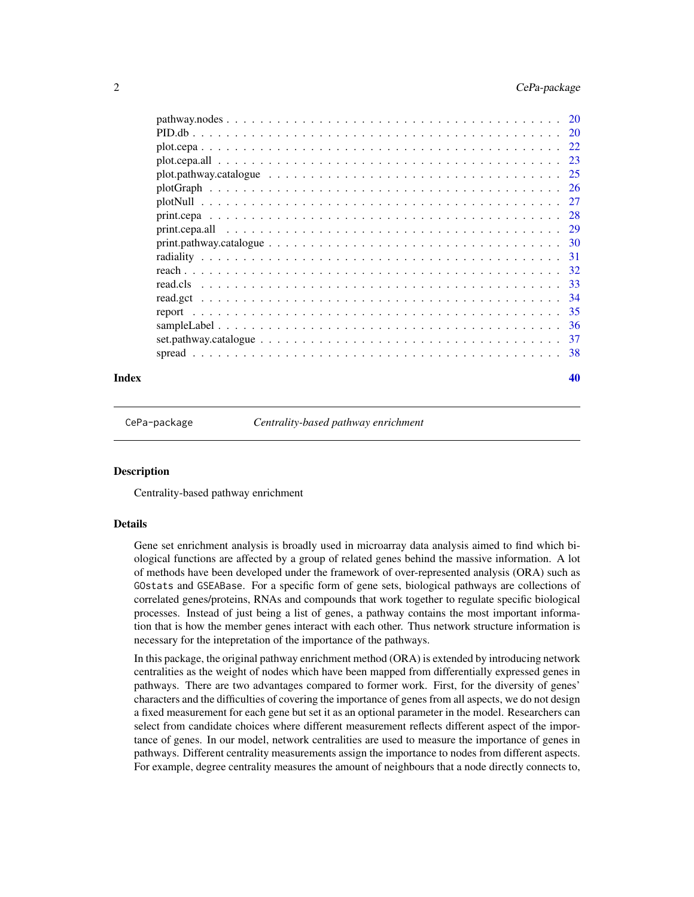<span id="page-1-0"></span>

| Index |                                       |  |  |  |  |  |  |  |  |  |  |  |  |  |  | 40 |
|-------|---------------------------------------|--|--|--|--|--|--|--|--|--|--|--|--|--|--|----|
|       |                                       |  |  |  |  |  |  |  |  |  |  |  |  |  |  |    |
|       |                                       |  |  |  |  |  |  |  |  |  |  |  |  |  |  |    |
|       |                                       |  |  |  |  |  |  |  |  |  |  |  |  |  |  |    |
|       |                                       |  |  |  |  |  |  |  |  |  |  |  |  |  |  |    |
|       |                                       |  |  |  |  |  |  |  |  |  |  |  |  |  |  |    |
|       |                                       |  |  |  |  |  |  |  |  |  |  |  |  |  |  |    |
|       |                                       |  |  |  |  |  |  |  |  |  |  |  |  |  |  |    |
|       |                                       |  |  |  |  |  |  |  |  |  |  |  |  |  |  |    |
|       |                                       |  |  |  |  |  |  |  |  |  |  |  |  |  |  |    |
|       |                                       |  |  |  |  |  |  |  |  |  |  |  |  |  |  |    |
|       |                                       |  |  |  |  |  |  |  |  |  |  |  |  |  |  |    |
|       |                                       |  |  |  |  |  |  |  |  |  |  |  |  |  |  |    |
|       |                                       |  |  |  |  |  |  |  |  |  |  |  |  |  |  |    |
|       | $plot.pathway.catalogue           25$ |  |  |  |  |  |  |  |  |  |  |  |  |  |  |    |
|       |                                       |  |  |  |  |  |  |  |  |  |  |  |  |  |  |    |
|       |                                       |  |  |  |  |  |  |  |  |  |  |  |  |  |  |    |
|       |                                       |  |  |  |  |  |  |  |  |  |  |  |  |  |  |    |
|       |                                       |  |  |  |  |  |  |  |  |  |  |  |  |  |  |    |

CePa-package *Centrality-based pathway enrichment*

#### **Description**

Centrality-based pathway enrichment

## Details

Gene set enrichment analysis is broadly used in microarray data analysis aimed to find which biological functions are affected by a group of related genes behind the massive information. A lot of methods have been developed under the framework of over-represented analysis (ORA) such as GOstats and GSEABase. For a specific form of gene sets, biological pathways are collections of correlated genes/proteins, RNAs and compounds that work together to regulate specific biological processes. Instead of just being a list of genes, a pathway contains the most important information that is how the member genes interact with each other. Thus network structure information is necessary for the intepretation of the importance of the pathways.

In this package, the original pathway enrichment method (ORA) is extended by introducing network centralities as the weight of nodes which have been mapped from differentially expressed genes in pathways. There are two advantages compared to former work. First, for the diversity of genes' characters and the difficulties of covering the importance of genes from all aspects, we do not design a fixed measurement for each gene but set it as an optional parameter in the model. Researchers can select from candidate choices where different measurement reflects different aspect of the importance of genes. In our model, network centralities are used to measure the importance of genes in pathways. Different centrality measurements assign the importance to nodes from different aspects. For example, degree centrality measures the amount of neighbours that a node directly connects to,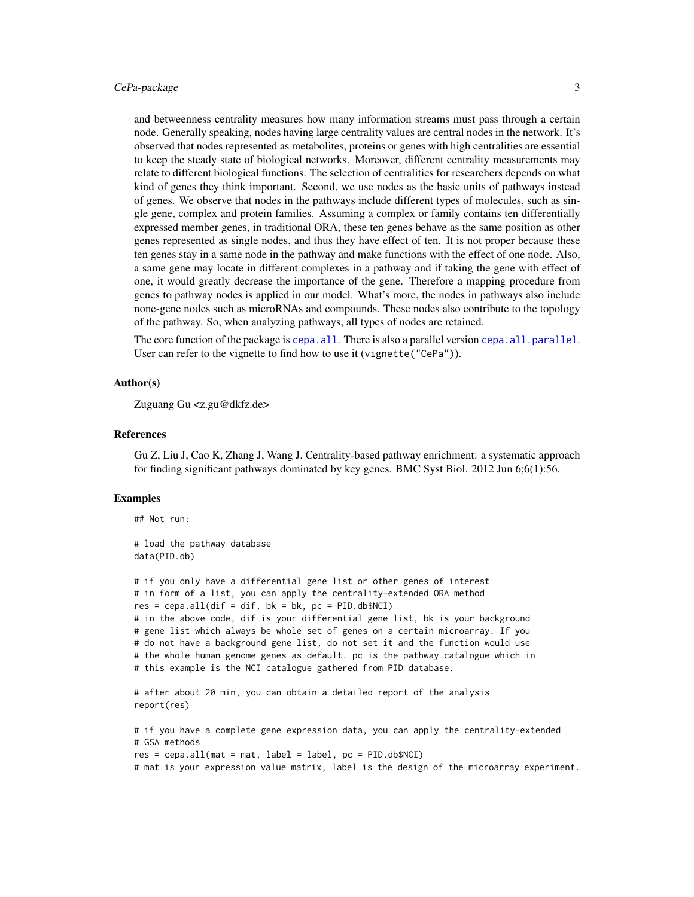## <span id="page-2-0"></span>CePa-package 3

and betweenness centrality measures how many information streams must pass through a certain node. Generally speaking, nodes having large centrality values are central nodes in the network. It's observed that nodes represented as metabolites, proteins or genes with high centralities are essential to keep the steady state of biological networks. Moreover, different centrality measurements may relate to different biological functions. The selection of centralities for researchers depends on what kind of genes they think important. Second, we use nodes as the basic units of pathways instead of genes. We observe that nodes in the pathways include different types of molecules, such as single gene, complex and protein families. Assuming a complex or family contains ten differentially expressed member genes, in traditional ORA, these ten genes behave as the same position as other genes represented as single nodes, and thus they have effect of ten. It is not proper because these ten genes stay in a same node in the pathway and make functions with the effect of one node. Also, a same gene may locate in different complexes in a pathway and if taking the gene with effect of one, it would greatly decrease the importance of the gene. Therefore a mapping procedure from genes to pathway nodes is applied in our model. What's more, the nodes in pathways also include none-gene nodes such as microRNAs and compounds. These nodes also contribute to the topology of the pathway. So, when analyzing pathways, all types of nodes are retained.

The core function of the package is cepa. all. There is also a parallel version cepa. all.parallel. User can refer to the vignette to find how to use it (vignette("CePa")).

#### Author(s)

Zuguang Gu <z.gu@dkfz.de>

#### References

Gu Z, Liu J, Cao K, Zhang J, Wang J. Centrality-based pathway enrichment: a systematic approach for finding significant pathways dominated by key genes. BMC Syst Biol. 2012 Jun 6;6(1):56.

#### Examples

## Not run:

```
# load the pathway database
data(PID.db)
# if you only have a differential gene list or other genes of interest
# in form of a list, you can apply the centrality-extended ORA method
res = cepa.all(dif = dif, bk = bk, pc = PID.db$NCI)# in the above code, dif is your differential gene list, bk is your background
# gene list which always be whole set of genes on a certain microarray. If you
# do not have a background gene list, do not set it and the function would use
# the whole human genome genes as default. pc is the pathway catalogue which in
# this example is the NCI catalogue gathered from PID database.
# after about 20 min, you can obtain a detailed report of the analysis
report(res)
# if you have a complete gene expression data, you can apply the centrality-extended
# GSA methods
res = cepa.al1(mat = mat, label = label, pc = PID.db$NCI)
```
# mat is your expression value matrix, label is the design of the microarray experiment.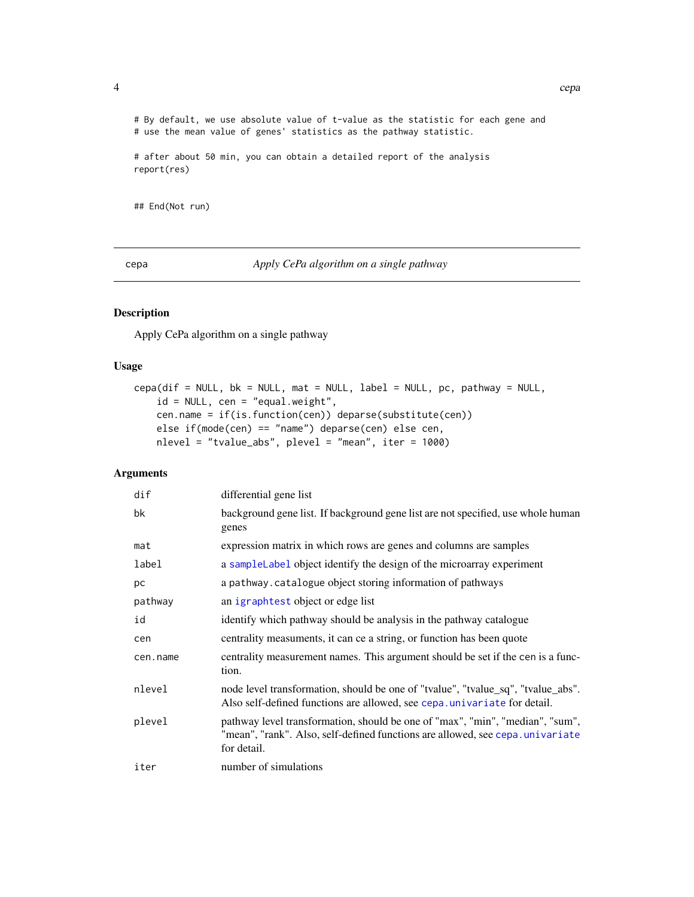<span id="page-3-0"></span># By default, we use absolute value of t-value as the statistic for each gene and # use the mean value of genes' statistics as the pathway statistic.

```
# after about 50 min, you can obtain a detailed report of the analysis
report(res)
```
## End(Not run)

<span id="page-3-1"></span>cepa *Apply CePa algorithm on a single pathway*

## Description

Apply CePa algorithm on a single pathway

#### Usage

```
cepa(dif = NULL, bk = NULL, mat = NULL, label = NULL, pc, pathway = NULL,
    id = NULL, cen = "equal.weight",
    cen.name = if(is.function(cen)) deparse(substitute(cen))
   else if(mode(cen) == "name") deparse(cen) else cen,
   nlevel = "tvalue_abs", plevel = "mean", iter = 1000)
```
## Arguments

| dif      | differential gene list                                                                                                                                                         |
|----------|--------------------------------------------------------------------------------------------------------------------------------------------------------------------------------|
| bk       | background gene list. If background gene list are not specified, use whole human<br>genes                                                                                      |
| mat      | expression matrix in which rows are genes and columns are samples                                                                                                              |
| label    | a sample Label object identify the design of the microarray experiment                                                                                                         |
| рc       | a pathway. catalogue object storing information of pathways                                                                                                                    |
| pathway  | an igraphtest object or edge list                                                                                                                                              |
| id       | identify which pathway should be analysis in the pathway catalogue                                                                                                             |
| cen      | centrality measuments, it can ce a string, or function has been quote                                                                                                          |
| cen.name | centrality measurement names. This argument should be set if the cen is a func-<br>tion.                                                                                       |
| nlevel   | node level transformation, should be one of "tvalue", "tvalue_sq", "tvalue_abs".<br>Also self-defined functions are allowed, see cepa. univariate for detail.                  |
| plevel   | pathway level transformation, should be one of "max", "min", "median", "sum",<br>"mean", "rank". Also, self-defined functions are allowed, see cepa. univariate<br>for detail. |
| iter     | number of simulations                                                                                                                                                          |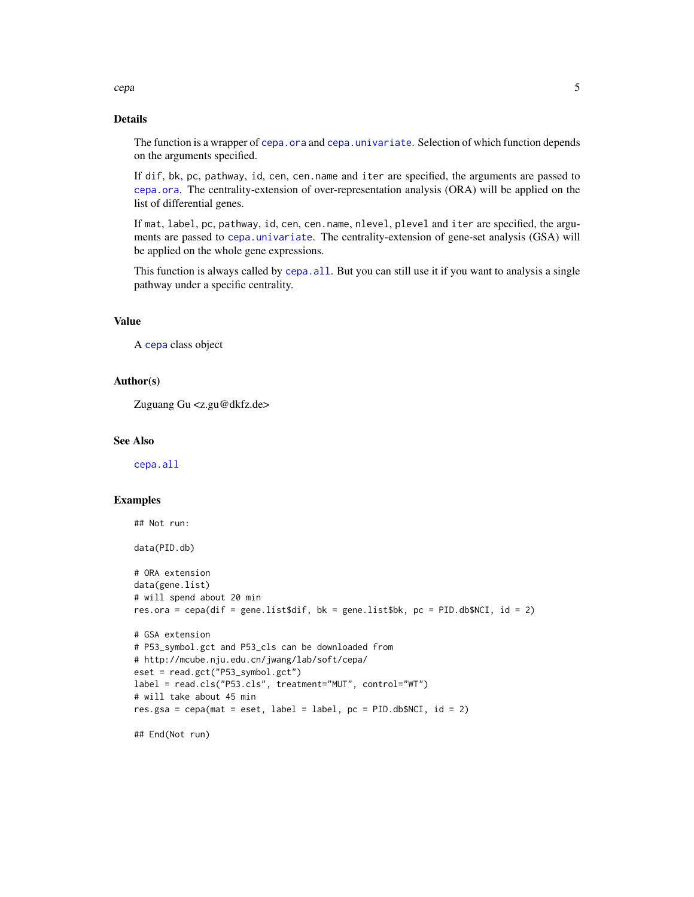<span id="page-4-0"></span>cepa 5

## Details

The function is a wrapper of [cepa.ora](#page-9-1) and [cepa.univariate](#page-12-1). Selection of which function depends on the arguments specified.

If dif, bk, pc, pathway, id, cen, cen.name and iter are specified, the arguments are passed to [cepa.ora](#page-9-1). The centrality-extension of over-representation analysis (ORA) will be applied on the list of differential genes.

If mat, label, pc, pathway, id, cen, cen.name, nlevel, plevel and iter are specified, the arguments are passed to [cepa.univariate](#page-12-1). The centrality-extension of gene-set analysis (GSA) will be applied on the whole gene expressions.

This function is always called by [cepa.all](#page-5-1). But you can still use it if you want to analysis a single pathway under a specific centrality.

## Value

A [cepa](#page-3-1) class object

## Author(s)

Zuguang Gu <z.gu@dkfz.de>

## See Also

[cepa.all](#page-5-1)

## Examples

```
## Not run:
data(PID.db)
# ORA extension
data(gene.list)
# will spend about 20 min
res.ora = cepa(dif = gene.list$dif, bk = gene.list$bk, pc = PID.db$NCI, id = 2)
# GSA extension
# P53_symbol.gct and P53_cls can be downloaded from
# http://mcube.nju.edu.cn/jwang/lab/soft/cepa/
eset = read.gct("P53_symbol.gct")
label = read.cls("P53.cls", treatment="MUT", control="WT")
# will take about 45 min
res.gsa = cepa(mat = eset, label = label, pc = PID.db$NCI, id = 2)
## End(Not run)
```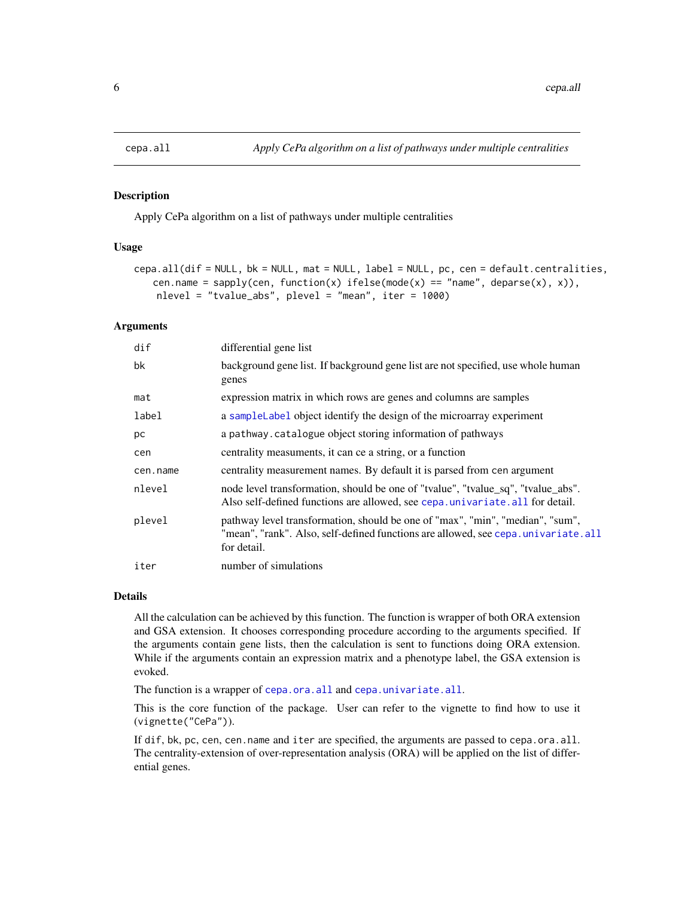#### Description

Apply CePa algorithm on a list of pathways under multiple centralities

#### Usage

```
cepa.all(dif = NULL, bk = NULL, mat = NULL, label = NULL, pc, cen = default.centralities,
   cen.name = sapply(cen, function(x) ifelse(mode(x) == "name", deparse(x), x)),
    nlevel = "tvalue_abs", plevel = "mean", iter = 1000)
```
## Arguments

| dif      | differential gene list                                                                                                                                                            |
|----------|-----------------------------------------------------------------------------------------------------------------------------------------------------------------------------------|
| bk       | background gene list. If background gene list are not specified, use whole human<br>genes                                                                                         |
| mat      | expression matrix in which rows are genes and columns are samples                                                                                                                 |
| label    | a sample Label object identify the design of the microarray experiment                                                                                                            |
| рc       | a pathway. catalogue object storing information of pathways                                                                                                                       |
| cen      | centrality measuments, it can ce a string, or a function                                                                                                                          |
| cen.name | centrality measurement names. By default it is parsed from cen argument                                                                                                           |
| nlevel   | node level transformation, should be one of "tvalue", "tvalue_sq", "tvalue_abs".<br>Also self-defined functions are allowed, see cepa.univariate.all for detail.                  |
| plevel   | pathway level transformation, should be one of "max", "min", "median", "sum",<br>"mean", "rank". Also, self-defined functions are allowed, see cepa.univariate.all<br>for detail. |
| iter     | number of simulations                                                                                                                                                             |

#### Details

All the calculation can be achieved by this function. The function is wrapper of both ORA extension and GSA extension. It chooses corresponding procedure according to the arguments specified. If the arguments contain gene lists, then the calculation is sent to functions doing ORA extension. While if the arguments contain an expression matrix and a phenotype label, the GSA extension is evoked.

The function is a wrapper of [cepa.ora.all](#page-10-1) and [cepa.univariate.all](#page-13-1).

This is the core function of the package. User can refer to the vignette to find how to use it (vignette("CePa")).

If dif, bk, pc, cen, cen.name and iter are specified, the arguments are passed to cepa.ora.all. The centrality-extension of over-representation analysis (ORA) will be applied on the list of differential genes.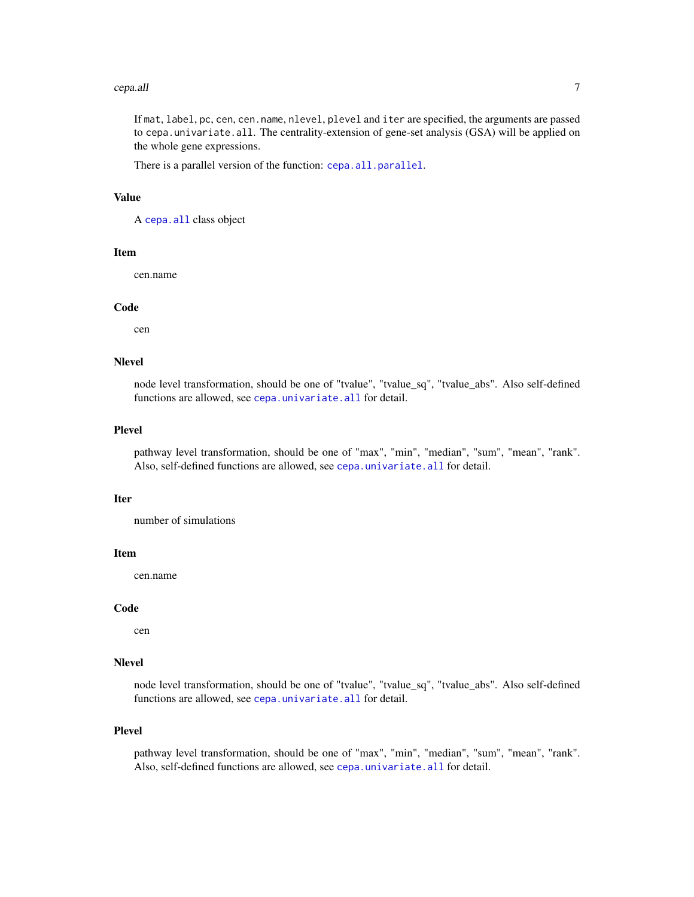#### <span id="page-6-0"></span>cepa.all 7

If mat, label, pc, cen, cen.name, nlevel, plevel and iter are specified, the arguments are passed to cepa.univariate.all. The centrality-extension of gene-set analysis (GSA) will be applied on the whole gene expressions.

There is a parallel version of the function: [cepa.all.parallel](#page-7-1).

#### Value

A [cepa.all](#page-5-1) class object

#### Item

cen.name

#### Code

cen

## Nlevel

node level transformation, should be one of "tvalue", "tvalue\_sq", "tvalue\_abs". Also self-defined functions are allowed, see [cepa.univariate.all](#page-13-1) for detail.

#### Plevel

pathway level transformation, should be one of "max", "min", "median", "sum", "mean", "rank". Also, self-defined functions are allowed, see [cepa.univariate.all](#page-13-1) for detail.

#### Iter

number of simulations

#### Item

cen.name

#### Code

cen

#### Nlevel

node level transformation, should be one of "tvalue", "tvalue\_sq", "tvalue\_abs". Also self-defined functions are allowed, see [cepa.univariate.all](#page-13-1) for detail.

## Plevel

pathway level transformation, should be one of "max", "min", "median", "sum", "mean", "rank". Also, self-defined functions are allowed, see [cepa.univariate.all](#page-13-1) for detail.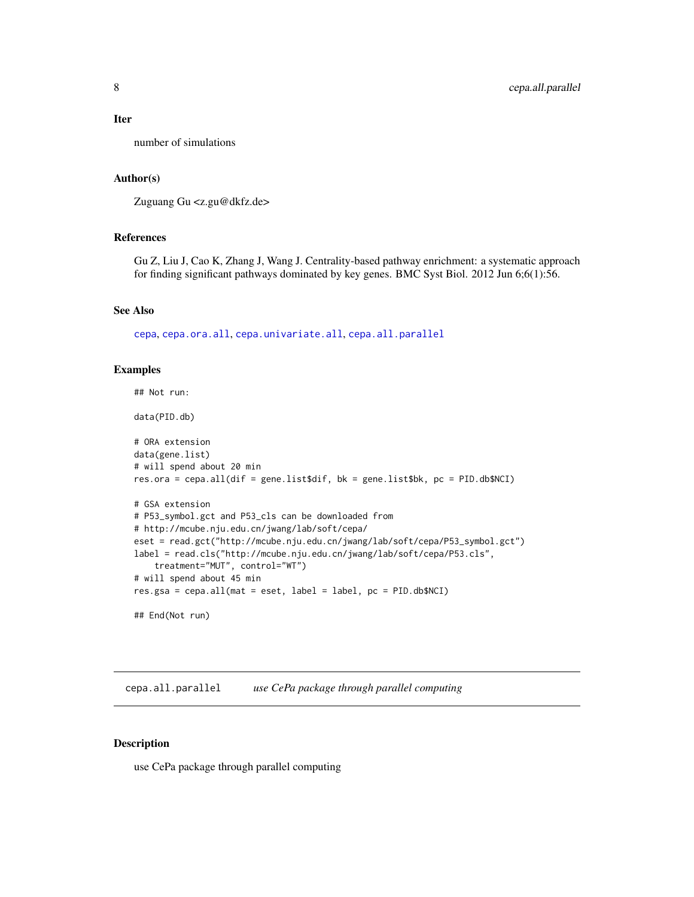#### <span id="page-7-0"></span>Iter

number of simulations

#### Author(s)

Zuguang Gu <z.gu@dkfz.de>

## References

Gu Z, Liu J, Cao K, Zhang J, Wang J. Centrality-based pathway enrichment: a systematic approach for finding significant pathways dominated by key genes. BMC Syst Biol. 2012 Jun 6;6(1):56.

#### See Also

[cepa](#page-3-1), [cepa.ora.all](#page-10-1), [cepa.univariate.all](#page-13-1), [cepa.all.parallel](#page-7-1)

#### Examples

```
## Not run:
data(PID.db)
# ORA extension
data(gene.list)
# will spend about 20 min
res.ora = cepa.all(dif = gene.list$dif, bk = gene.list$bk, pc = PID.db$NCI)
# GSA extension
# P53_symbol.gct and P53_cls can be downloaded from
# http://mcube.nju.edu.cn/jwang/lab/soft/cepa/
eset = read.gct("http://mcube.nju.edu.cn/jwang/lab/soft/cepa/P53_symbol.gct")
label = read.cls("http://mcube.nju.edu.cn/jwang/lab/soft/cepa/P53.cls",
    treatment="MUT", control="WT")
# will spend about 45 min
res.gsa = cepa.all(mat = eset, label = label, pc = PID.db$NCI)
## End(Not run)
```
<span id="page-7-1"></span>cepa.all.parallel *use CePa package through parallel computing*

#### Description

use CePa package through parallel computing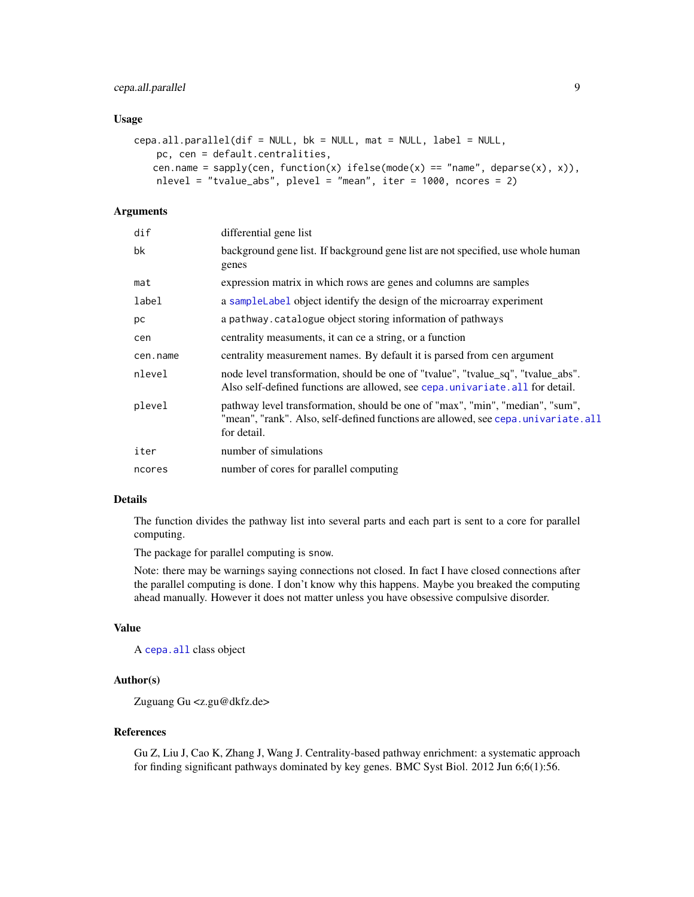## <span id="page-8-0"></span>cepa.all.parallel 9

#### Usage

```
cepa.all.parallel(dif = NULL, bk = NULL, mat = NULL, label = NULL,
   pc, cen = default.centralities,
   cen.name = sapply(cen, function(x) ifelse(mode(x) == "name", deparse(x), x)),
   nlevel = "tvalue_abs", plevel = "mean", iter = 1000, ncores = 2)
```
## Arguments

| dif      | differential gene list                                                                                                                                                            |
|----------|-----------------------------------------------------------------------------------------------------------------------------------------------------------------------------------|
| bk       | background gene list. If background gene list are not specified, use whole human<br>genes                                                                                         |
| mat      | expression matrix in which rows are genes and columns are samples                                                                                                                 |
| label    | a sample Label object identify the design of the microarray experiment                                                                                                            |
| рc       | a pathway. catalogue object storing information of pathways                                                                                                                       |
| cen      | centrality measuments, it can ce a string, or a function                                                                                                                          |
| cen.name | centrality measurement names. By default it is parsed from cen argument                                                                                                           |
| nlevel   | node level transformation, should be one of "tvalue", "tvalue_sq", "tvalue_abs".<br>Also self-defined functions are allowed, see cepa.univariate.all for detail.                  |
| plevel   | pathway level transformation, should be one of "max", "min", "median", "sum",<br>"mean", "rank". Also, self-defined functions are allowed, see cepa.univariate.all<br>for detail. |
| iter     | number of simulations                                                                                                                                                             |
| ncores   | number of cores for parallel computing                                                                                                                                            |
|          |                                                                                                                                                                                   |

## Details

The function divides the pathway list into several parts and each part is sent to a core for parallel computing.

The package for parallel computing is snow.

Note: there may be warnings saying connections not closed. In fact I have closed connections after the parallel computing is done. I don't know why this happens. Maybe you breaked the computing ahead manually. However it does not matter unless you have obsessive compulsive disorder.

#### Value

A [cepa.all](#page-5-1) class object

## Author(s)

Zuguang Gu <z.gu@dkfz.de>

## References

Gu Z, Liu J, Cao K, Zhang J, Wang J. Centrality-based pathway enrichment: a systematic approach for finding significant pathways dominated by key genes. BMC Syst Biol. 2012 Jun 6;6(1):56.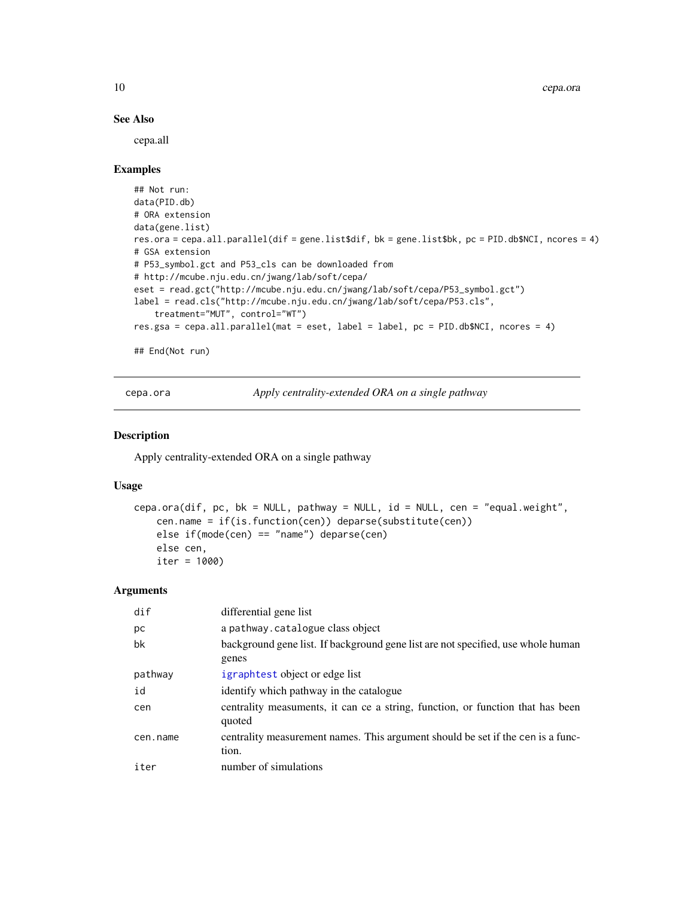## See Also

cepa.all

## Examples

```
## Not run:
data(PID.db)
# ORA extension
data(gene.list)
res.ora = cepa.all.parallel(dif = gene.list$dif, bk = gene.list$bk, pc = PID.db$NCI, ncores = 4)
# GSA extension
# P53_symbol.gct and P53_cls can be downloaded from
# http://mcube.nju.edu.cn/jwang/lab/soft/cepa/
eset = read.gct("http://mcube.nju.edu.cn/jwang/lab/soft/cepa/P53_symbol.gct")
label = read.cls("http://mcube.nju.edu.cn/jwang/lab/soft/cepa/P53.cls",
   treatment="MUT", control="WT")
res.gsa = cepa.all.parallel(mat = eset, label = label, pc = PID.db$NCI, ncores = 4)
## End(Not run)
```
<span id="page-9-1"></span>cepa.ora *Apply centrality-extended ORA on a single pathway*

#### Description

Apply centrality-extended ORA on a single pathway

## Usage

```
cepa.ora(dif, pc, bk = NULL, pathway = NULL, id = NULL, cen = "equal.weight",
   cen.name = if(is.function(cen)) deparse(substitute(cen))
   else if(mode(cen) == "name") deparse(cen)
   else cen,
   iter = 1000)
```
#### Arguments

| dif      | differential gene list                                                                    |
|----------|-------------------------------------------------------------------------------------------|
| рc       | a pathway.catalogue class object                                                          |
| bk       | background gene list. If background gene list are not specified, use whole human<br>genes |
| pathway  | igraphtest object or edge list                                                            |
| id       | identify which pathway in the catalogue                                                   |
| cen      | centrality measuments, it can ce a string, function, or function that has been<br>quoted  |
| cen.name | centrality measurement names. This argument should be set if the cen is a func-<br>tion.  |
| iter     | number of simulations                                                                     |

<span id="page-9-0"></span>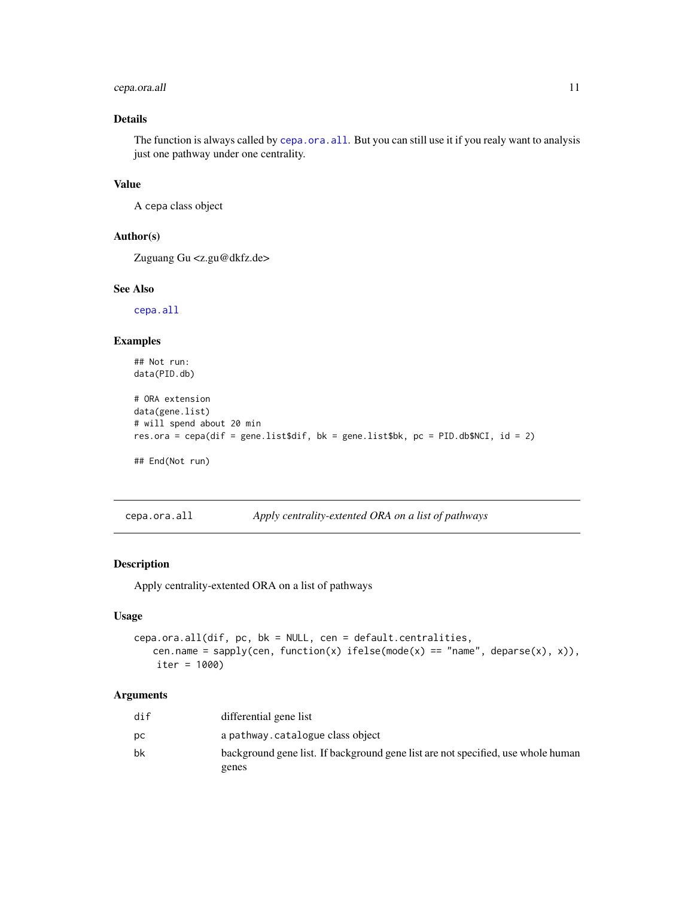## <span id="page-10-0"></span>cepa.ora.all 11

## Details

The function is always called by [cepa.ora.all](#page-10-1). But you can still use it if you realy want to analysis just one pathway under one centrality.

#### Value

A cepa class object

## Author(s)

Zuguang Gu <z.gu@dkfz.de>

## See Also

[cepa.all](#page-5-1)

#### Examples

```
## Not run:
data(PID.db)
# ORA extension
data(gene.list)
# will spend about 20 min
res.ora = cepa(dif = gene.list$dif, bk = gene.list$bk, pc = PID.db$NCI, id = 2)
## End(Not run)
```
<span id="page-10-1"></span>

| cepa.ora.all | Apply centrality-extented ORA on a list of pathways |  |
|--------------|-----------------------------------------------------|--|
|              |                                                     |  |

## Description

Apply centrality-extented ORA on a list of pathways

## Usage

```
cepa.ora.all(dif, pc, bk = NULL, cen = default.centralities,
   cen.name = sapply(cen, function(x) ifelse(mode(x) == "name", deparse(x), x)),
   iter = 1000)
```
## Arguments

| dif | differential gene list                                                           |
|-----|----------------------------------------------------------------------------------|
| DС  | a pathway.catalogue class object                                                 |
| bk  | background gene list. If background gene list are not specified, use whole human |
|     | genes                                                                            |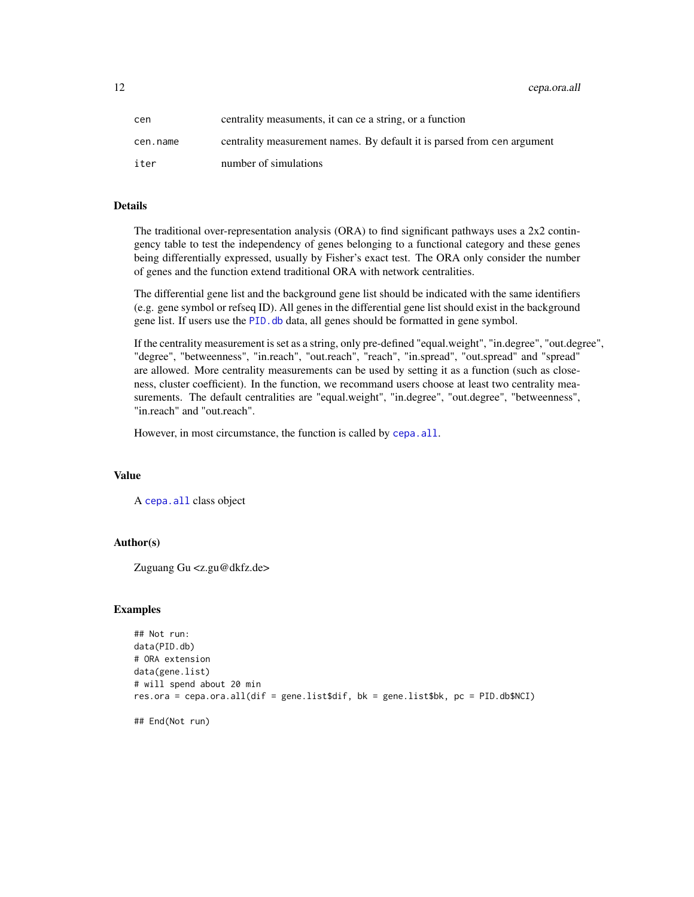<span id="page-11-0"></span>12 cepa.ora.all

| cen      | centrality measuments, it can ce a string, or a function                |
|----------|-------------------------------------------------------------------------|
| cen.name | centrality measurement names. By default it is parsed from cen argument |
| iter     | number of simulations                                                   |

## Details

The traditional over-representation analysis (ORA) to find significant pathways uses a 2x2 contingency table to test the independency of genes belonging to a functional category and these genes being differentially expressed, usually by Fisher's exact test. The ORA only consider the number of genes and the function extend traditional ORA with network centralities.

The differential gene list and the background gene list should be indicated with the same identifiers (e.g. gene symbol or refseq ID). All genes in the differential gene list should exist in the background gene list. If users use the PID. db data, all genes should be formatted in gene symbol.

If the centrality measurement is set as a string, only pre-defined "equal.weight", "in.degree", "out.degree", "degree", "betweenness", "in.reach", "out.reach", "reach", "in.spread", "out.spread" and "spread" are allowed. More centrality measurements can be used by setting it as a function (such as closeness, cluster coefficient). In the function, we recommand users choose at least two centrality measurements. The default centralities are "equal.weight", "in.degree", "out.degree", "betweenness", "in.reach" and "out.reach".

However, in most circumstance, the function is called by [cepa.all](#page-5-1).

#### Value

A [cepa.all](#page-5-1) class object

## Author(s)

Zuguang Gu <z.gu@dkfz.de>

## **Examples**

```
## Not run:
data(PID.db)
# ORA extension
data(gene.list)
# will spend about 20 min
res.ora = cepa.ora.all(dif = gene.list$dif, bk = gene.list$bk, pc = PID.db$NCI)
## End(Not run)
```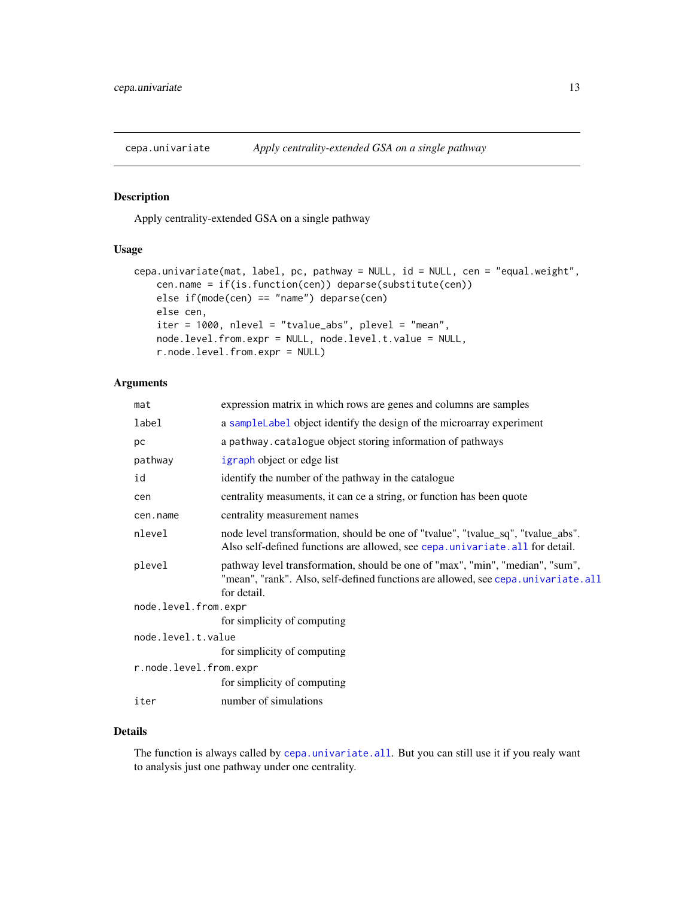<span id="page-12-1"></span><span id="page-12-0"></span>

## Description

Apply centrality-extended GSA on a single pathway

## Usage

```
cepa.univariate(mat, label, pc, pathway = NULL, id = NULL, cen = "equal.weight",
    cen.name = if(is.function(cen)) deparse(substitute(cen))
    else if(mode(cen) == "name") deparse(cen)
   else cen,
    iter = 1000, nlevel = "tvalue_abs", plevel = "mean",
    node.level.from.expr = NULL, node.level.t.value = NULL,
    r.node.level.from.expr = NULL)
```
## Arguments

| mat                    | expression matrix in which rows are genes and columns are samples                                                                                                                 |
|------------------------|-----------------------------------------------------------------------------------------------------------------------------------------------------------------------------------|
| label                  | a sample Label object identify the design of the microarray experiment                                                                                                            |
| рc                     | a pathway.catalogue object storing information of pathways                                                                                                                        |
| pathway                | igraph object or edge list                                                                                                                                                        |
| id                     | identify the number of the pathway in the catalogue                                                                                                                               |
| cen                    | centrality measuments, it can ce a string, or function has been quote                                                                                                             |
| cen.name               | centrality measurement names                                                                                                                                                      |
| nlevel                 | node level transformation, should be one of "tvalue", "tvalue_sq", "tvalue_abs".<br>Also self-defined functions are allowed, see cepa.univariate.all for detail.                  |
| plevel                 | pathway level transformation, should be one of "max", "min", "median", "sum",<br>"mean", "rank". Also, self-defined functions are allowed, see cepa.univariate.all<br>for detail. |
| node.level.from.expr   |                                                                                                                                                                                   |
|                        | for simplicity of computing                                                                                                                                                       |
| node.level.t.value     |                                                                                                                                                                                   |
|                        | for simplicity of computing                                                                                                                                                       |
| r.node.level.from.expr |                                                                                                                                                                                   |
|                        | for simplicity of computing                                                                                                                                                       |
| iter                   | number of simulations                                                                                                                                                             |

## Details

The function is always called by [cepa.univariate.all](#page-13-1). But you can still use it if you realy want to analysis just one pathway under one centrality.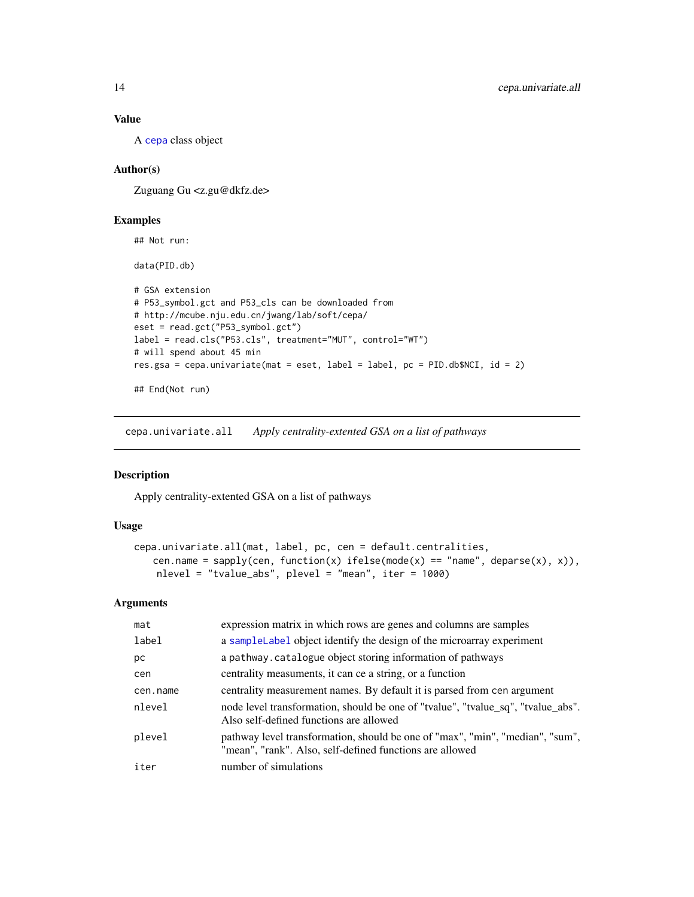## Value

A [cepa](#page-3-1) class object

## Author(s)

Zuguang Gu <z.gu@dkfz.de>

## Examples

## Not run:

data(PID.db)

```
# GSA extension
# P53_symbol.gct and P53_cls can be downloaded from
# http://mcube.nju.edu.cn/jwang/lab/soft/cepa/
eset = read.gct("P53_symbol.gct")
label = read.cls("P53.cls", treatment="MUT", control="WT")
# will spend about 45 min
res.gsa = cepa.univariate(mat = eset, label = label, pc = PID.db$NCI, id = 2)
## End(Not run)
```
<span id="page-13-1"></span>cepa.univariate.all *Apply centrality-extented GSA on a list of pathways*

## Description

Apply centrality-extented GSA on a list of pathways

## Usage

```
cepa.univariate.all(mat, label, pc, cen = default.centralities,
   cen.name = sapply(cen, function(x) ifelse(mode(x) == "name", deparse(x), x)),
   nlevel = "tvalue_abs", plevel = "mean", iter = 1000)
```
#### Arguments

| mat      | expression matrix in which rows are genes and columns are samples                                                                         |
|----------|-------------------------------------------------------------------------------------------------------------------------------------------|
| label    | a sampleLabel object identify the design of the microarray experiment                                                                     |
| рc       | a pathway. catalogue object storing information of pathways                                                                               |
| cen      | centrality measuments, it can ce a string, or a function                                                                                  |
| cen.name | centrality measurement names. By default it is parsed from cen argument                                                                   |
| nlevel   | node level transformation, should be one of "tvalue", "tvalue_sq", "tvalue_abs".<br>Also self-defined functions are allowed               |
| plevel   | pathway level transformation, should be one of "max", "min", "median", "sum",<br>"mean", "rank". Also, self-defined functions are allowed |
| iter     | number of simulations                                                                                                                     |

<span id="page-13-0"></span>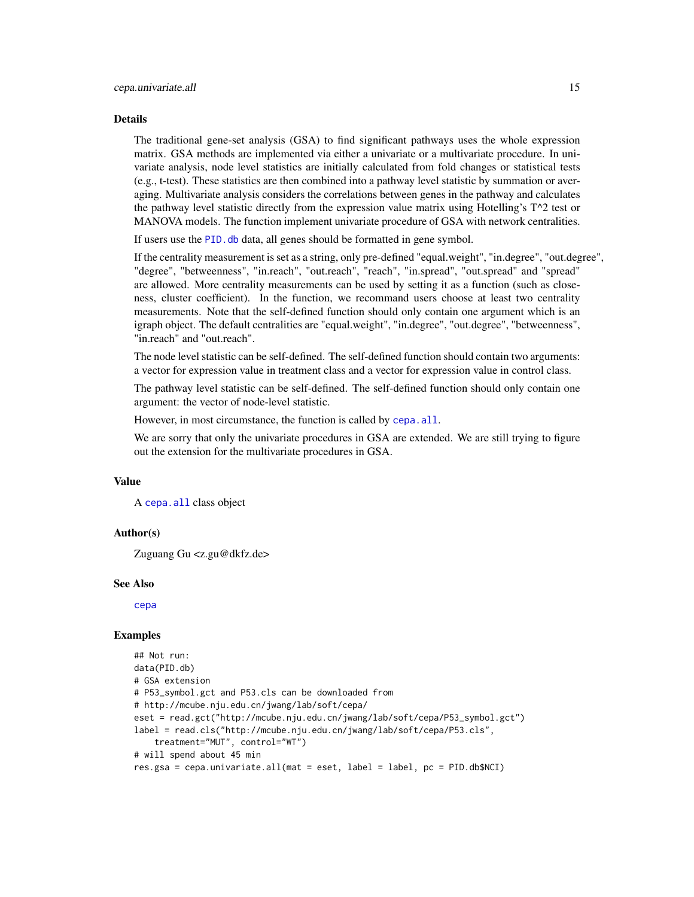#### <span id="page-14-0"></span>Details

The traditional gene-set analysis (GSA) to find significant pathways uses the whole expression matrix. GSA methods are implemented via either a univariate or a multivariate procedure. In univariate analysis, node level statistics are initially calculated from fold changes or statistical tests (e.g., t-test). These statistics are then combined into a pathway level statistic by summation or averaging. Multivariate analysis considers the correlations between genes in the pathway and calculates the pathway level statistic directly from the expression value matrix using Hotelling's T^2 test or MANOVA models. The function implement univariate procedure of GSA with network centralities.

If users use the PID. db data, all genes should be formatted in gene symbol.

If the centrality measurement is set as a string, only pre-defined "equal.weight", "in.degree", "out.degree", "degree", "betweenness", "in.reach", "out.reach", "reach", "in.spread", "out.spread" and "spread" are allowed. More centrality measurements can be used by setting it as a function (such as closeness, cluster coefficient). In the function, we recommand users choose at least two centrality measurements. Note that the self-defined function should only contain one argument which is an igraph object. The default centralities are "equal.weight", "in.degree", "out.degree", "betweenness", "in.reach" and "out.reach".

The node level statistic can be self-defined. The self-defined function should contain two arguments: a vector for expression value in treatment class and a vector for expression value in control class.

The pathway level statistic can be self-defined. The self-defined function should only contain one argument: the vector of node-level statistic.

However, in most circumstance, the function is called by cepa. all.

We are sorry that only the univariate procedures in GSA are extended. We are still trying to figure out the extension for the multivariate procedures in GSA.

#### Value

A [cepa.all](#page-5-1) class object

#### Author(s)

Zuguang Gu <z.gu@dkfz.de>

#### See Also

[cepa](#page-3-1)

#### Examples

```
## Not run:
data(PID.db)
# GSA extension
# P53_symbol.gct and P53.cls can be downloaded from
# http://mcube.nju.edu.cn/jwang/lab/soft/cepa/
eset = read.gct("http://mcube.nju.edu.cn/jwang/lab/soft/cepa/P53_symbol.gct")
label = read.cls("http://mcube.nju.edu.cn/jwang/lab/soft/cepa/P53.cls",
    treatment="MUT", control="WT")
# will spend about 45 min
res.gsa = cepa.univariate.all(mat = eset, label = label, pc = PID.db$NCI)
```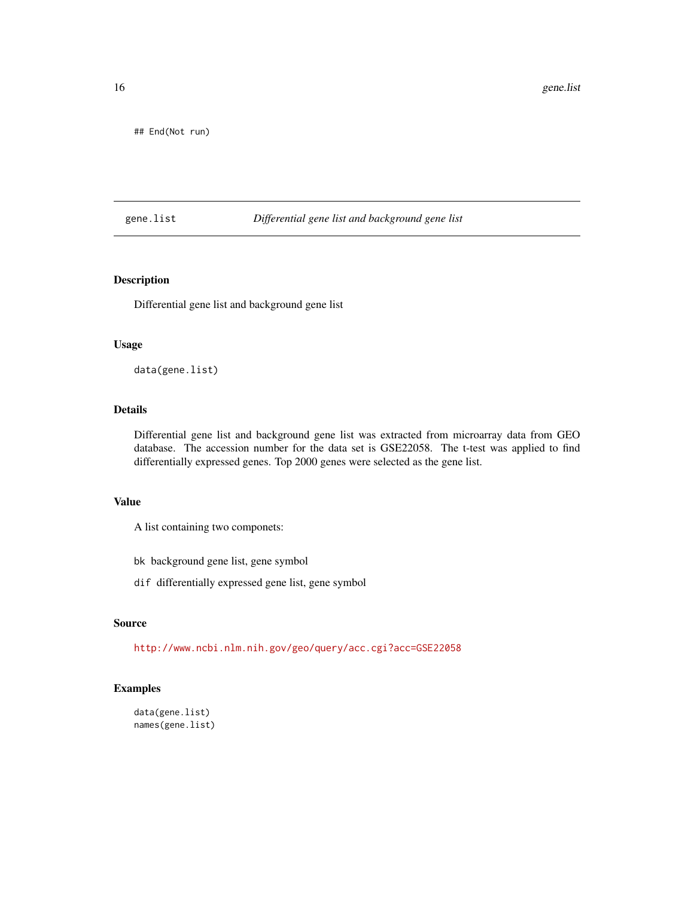<span id="page-15-0"></span>## End(Not run)

## gene.list *Differential gene list and background gene list*

## Description

Differential gene list and background gene list

## Usage

data(gene.list)

## Details

Differential gene list and background gene list was extracted from microarray data from GEO database. The accession number for the data set is GSE22058. The t-test was applied to find differentially expressed genes. Top 2000 genes were selected as the gene list.

#### Value

A list containing two componets:

bk background gene list, gene symbol

dif differentially expressed gene list, gene symbol

## Source

<http://www.ncbi.nlm.nih.gov/geo/query/acc.cgi?acc=GSE22058>

## Examples

```
data(gene.list)
names(gene.list)
```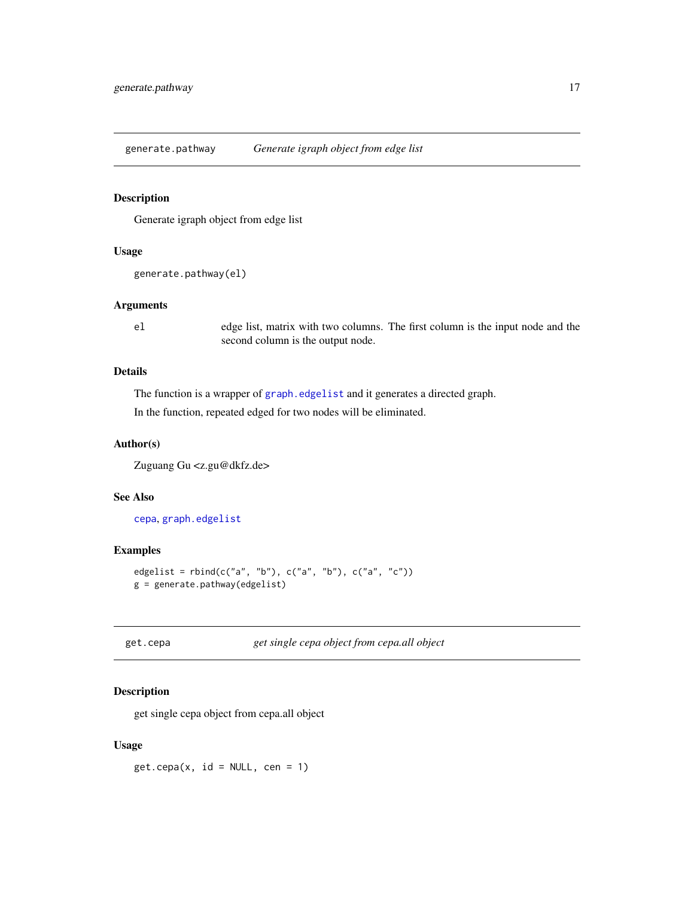<span id="page-16-0"></span>generate.pathway *Generate igraph object from edge list*

## Description

Generate igraph object from edge list

#### Usage

```
generate.pathway(el)
```
## Arguments

el edge list, matrix with two columns. The first column is the input node and the second column is the output node.

## Details

The function is a wrapper of [graph.edgelist](#page-0-0) and it generates a directed graph.

In the function, repeated edged for two nodes will be eliminated.

## Author(s)

Zuguang Gu <z.gu@dkfz.de>

## See Also

[cepa](#page-3-1), [graph.edgelist](#page-0-0)

## Examples

```
edgelist = rbind(c("a", "b"), c("a", "b"), c("a", "c"))
g = generate.pathway(edgelist)
```
<span id="page-16-1"></span>get.cepa *get single cepa object from cepa.all object*

## Description

get single cepa object from cepa.all object

## Usage

 $get.cepa(x, id = NULL, cen = 1)$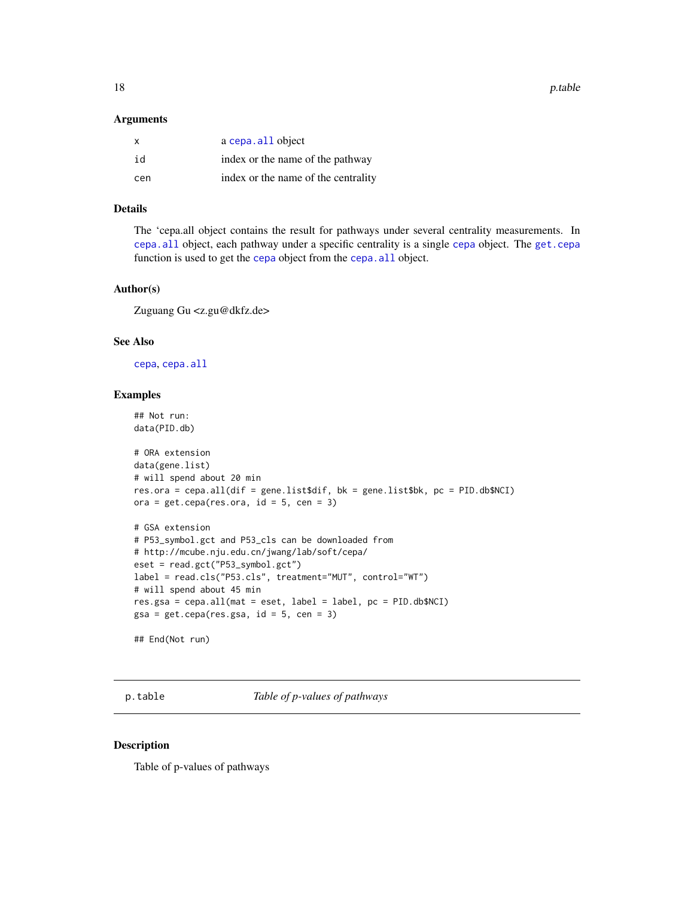<span id="page-17-0"></span>18 p.table

#### Arguments

| $\mathsf{x}$ | a cepa. all object                  |
|--------------|-------------------------------------|
| id           | index or the name of the pathway    |
| cen          | index or the name of the centrality |

#### Details

The 'cepa.all object contains the result for pathways under several centrality measurements. In [cepa.all](#page-5-1) object, each pathway under a specific centrality is a single [cepa](#page-3-1) object. The [get.cepa](#page-16-1) function is used to get the [cepa](#page-3-1) object from the [cepa.all](#page-5-1) object.

#### Author(s)

Zuguang Gu <z.gu@dkfz.de>

## See Also

[cepa](#page-3-1), [cepa.all](#page-5-1)

#### Examples

```
## Not run:
data(PID.db)
# ORA extension
data(gene.list)
# will spend about 20 min
res.ora = cepa.all(dif = gene.list$dif, bk = gene.list$bk, pc = PID.db$NCI)
ora = get.cepa(res.ora, id = 5, cen = 3)# GSA extension
# P53_symbol.gct and P53_cls can be downloaded from
# http://mcube.nju.edu.cn/jwang/lab/soft/cepa/
eset = read.gct("P53_symbol.gct")
label = read.cls("P53.cls", treatment="MUT", control="WT")
# will spend about 45 min
res.gsa = cepa.all(mat = eset, label = label, pc = PID.db$NCI)
gsa = get.cepa(res.s, id = 5, cen = 3)## End(Not run)
```
p.table *Table of p-values of pathways*

#### Description

Table of p-values of pathways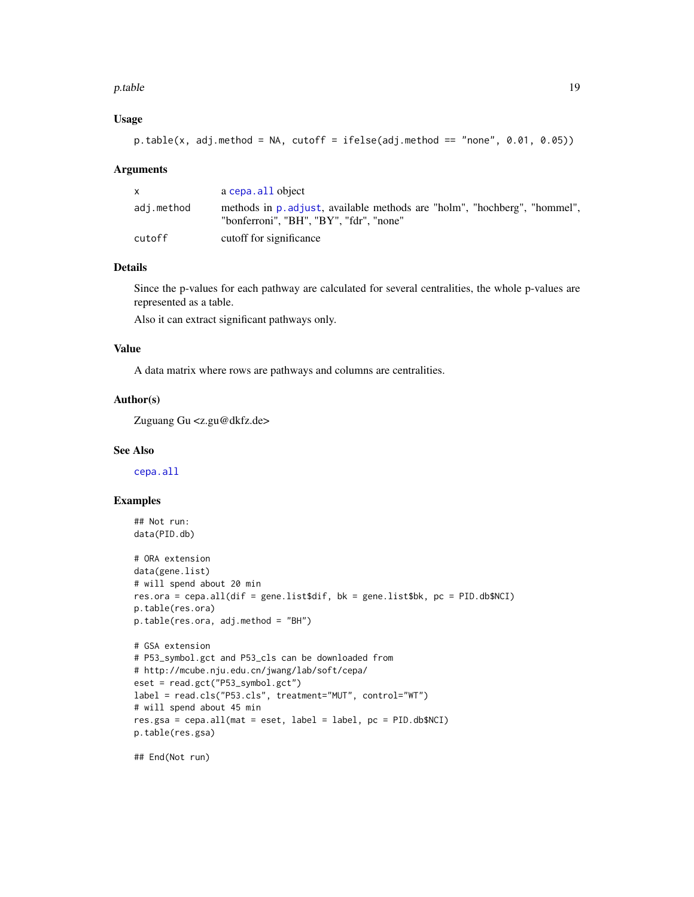#### <span id="page-18-0"></span>p.table 19

## Usage

```
p.table(x, adj.method = NA, cutoff = ifelse(adj.method == "none", 0.01, 0.05))
```
#### Arguments

|            | a cepa. all object                                                                                                   |
|------------|----------------------------------------------------------------------------------------------------------------------|
| adj.method | methods in p. adjust, available methods are "holm", "hochberg", "hommel",<br>"bonferroni". "BH". "BY". "fdr". "none" |
| cutoff     | cutoff for significance                                                                                              |

## Details

Since the p-values for each pathway are calculated for several centralities, the whole p-values are represented as a table.

Also it can extract significant pathways only.

## Value

A data matrix where rows are pathways and columns are centralities.

#### Author(s)

Zuguang Gu <z.gu@dkfz.de>

#### See Also

[cepa.all](#page-5-1)

## Examples

```
## Not run:
data(PID.db)
```

```
# ORA extension
data(gene.list)
# will spend about 20 min
res.ora = cepa.all(dif = gene.list$dif, bk = gene.list$bk, pc = PID.db$NCI)
p.table(res.ora)
p.table(res.ora, adj.method = "BH")
```

```
# GSA extension
# P53_symbol.gct and P53_cls can be downloaded from
# http://mcube.nju.edu.cn/jwang/lab/soft/cepa/
eset = read.gct("P53_symbol.gct")
label = read.cls("P53.cls", treatment="MUT", control="WT")
# will spend about 45 min
res.gsa = cepa.all(mat = eset, label = label, pc = PID.db$NCI)
p.table(res.gsa)
```
## End(Not run)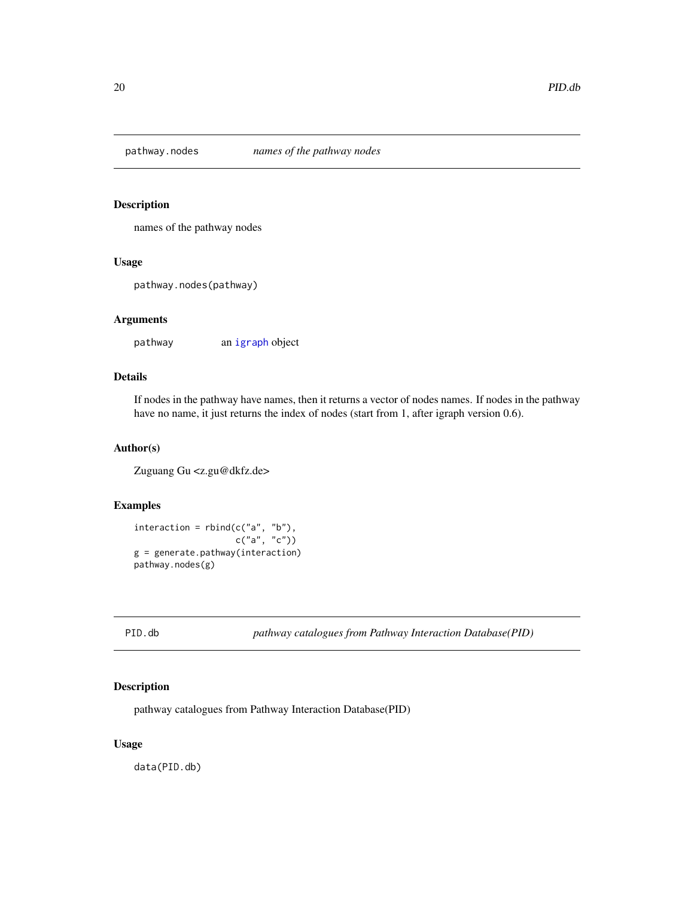<span id="page-19-0"></span>

## Description

names of the pathway nodes

#### Usage

pathway.nodes(pathway)

#### Arguments

pathway an [igraph](#page-0-0) object

## Details

If nodes in the pathway have names, then it returns a vector of nodes names. If nodes in the pathway have no name, it just returns the index of nodes (start from 1, after igraph version 0.6).

## Author(s)

Zuguang Gu <z.gu@dkfz.de>

## Examples

 $interaction = rbind(c("a", "b"),$ c("a", "c")) g = generate.pathway(interaction) pathway.nodes(g)

<span id="page-19-1"></span>

| Ξ |  |
|---|--|
|---|--|

**b** *pathway catalogues from Pathway Interaction Database(PID)* 

#### Description

pathway catalogues from Pathway Interaction Database(PID)

#### Usage

data(PID.db)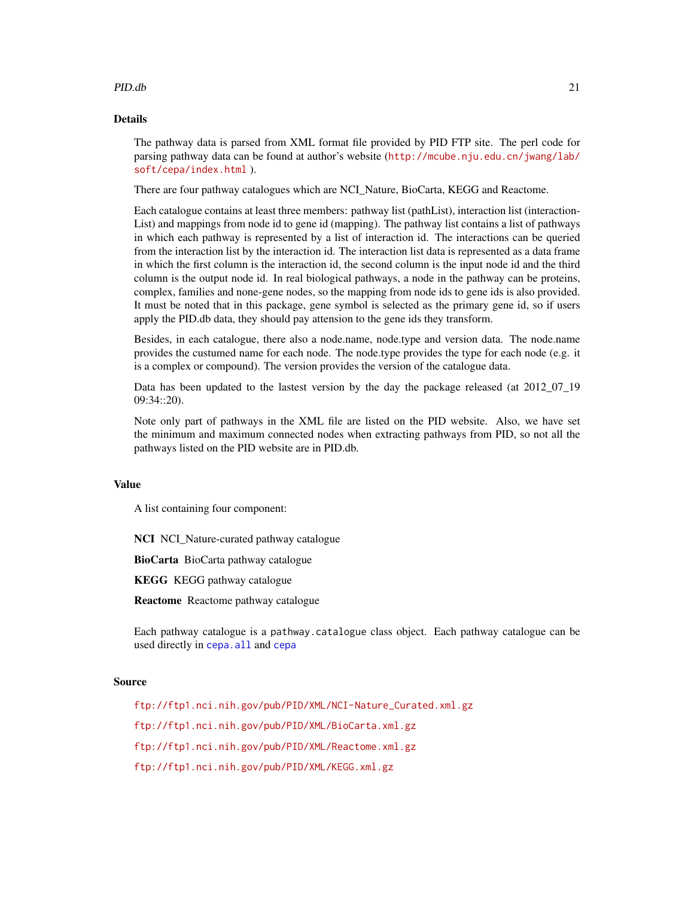#### <span id="page-20-0"></span>PID.db 21

## Details

The pathway data is parsed from XML format file provided by PID FTP site. The perl code for parsing pathway data can be found at author's website ([http://mcube.nju.edu.cn/jwang/lab/](http://mcube.nju.edu.cn/jwang/lab/soft/cepa/index.html) [soft/cepa/index.html](http://mcube.nju.edu.cn/jwang/lab/soft/cepa/index.html) ).

There are four pathway catalogues which are NCI\_Nature, BioCarta, KEGG and Reactome.

Each catalogue contains at least three members: pathway list (pathList), interaction list (interaction-List) and mappings from node id to gene id (mapping). The pathway list contains a list of pathways in which each pathway is represented by a list of interaction id. The interactions can be queried from the interaction list by the interaction id. The interaction list data is represented as a data frame in which the first column is the interaction id, the second column is the input node id and the third column is the output node id. In real biological pathways, a node in the pathway can be proteins, complex, families and none-gene nodes, so the mapping from node ids to gene ids is also provided. It must be noted that in this package, gene symbol is selected as the primary gene id, so if users apply the PID.db data, they should pay attension to the gene ids they transform.

Besides, in each catalogue, there also a node.name, node.type and version data. The node.name provides the custumed name for each node. The node.type provides the type for each node (e.g. it is a complex or compound). The version provides the version of the catalogue data.

Data has been updated to the lastest version by the day the package released (at 2012\_07\_19 09:34::20).

Note only part of pathways in the XML file are listed on the PID website. Also, we have set the minimum and maximum connected nodes when extracting pathways from PID, so not all the pathways listed on the PID website are in PID.db.

## Value

A list containing four component:

NCI NCI\_Nature-curated pathway catalogue

BioCarta BioCarta pathway catalogue

KEGG KEGG pathway catalogue

Reactome Reactome pathway catalogue

Each pathway catalogue is a pathway.catalogue class object. Each pathway catalogue can be used directly in [cepa.all](#page-5-1) and [cepa](#page-3-1)

#### Source

[ftp://ftp1.nci.nih.gov/pub/PID/XML/NCI-Nature\\_Curated.xml.gz](ftp://ftp1.nci.nih.gov/pub/PID/XML/NCI-Nature_Curated.xml.gz) <ftp://ftp1.nci.nih.gov/pub/PID/XML/BioCarta.xml.gz> <ftp://ftp1.nci.nih.gov/pub/PID/XML/Reactome.xml.gz> <ftp://ftp1.nci.nih.gov/pub/PID/XML/KEGG.xml.gz>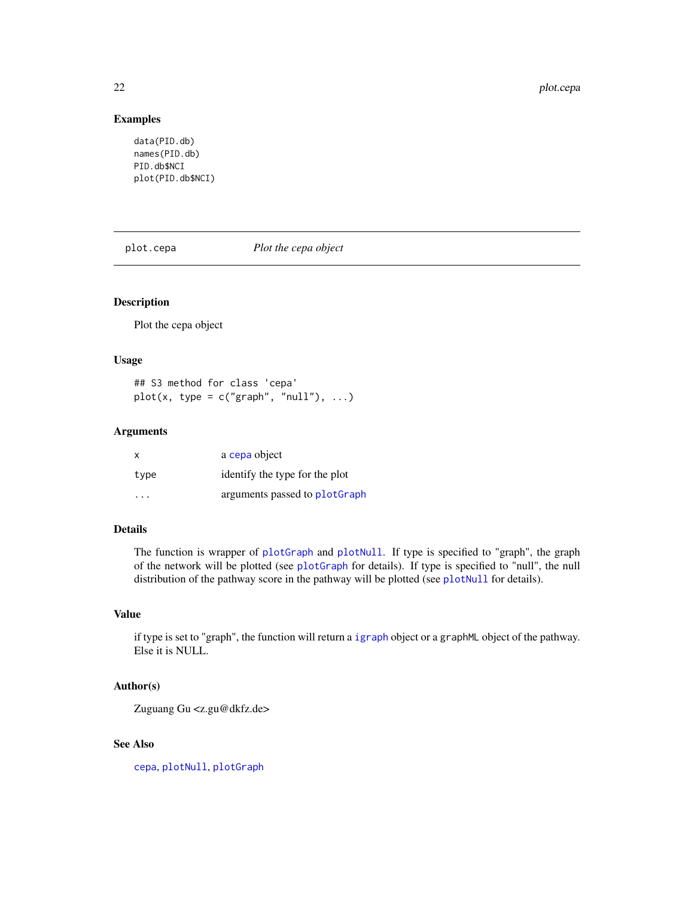## Examples

```
data(PID.db)
names(PID.db)
PID.db$NCI
plot(PID.db$NCI)
```
<span id="page-21-1"></span>plot.cepa *Plot the cepa object*

## Description

Plot the cepa object

#### Usage

## S3 method for class 'cepa' plot(x, type =  $c("graph", "null"), ...$ )

## Arguments

| X    | a cepa object                  |
|------|--------------------------------|
| type | identify the type for the plot |
| .    | arguments passed to plotGraph  |

## Details

The function is wrapper of [plotGraph](#page-25-1) and [plotNull](#page-26-1). If type is specified to "graph", the graph of the network will be plotted (see [plotGraph](#page-25-1) for details). If type is specified to "null", the null distribution of the pathway score in the pathway will be plotted (see [plotNull](#page-26-1) for details).

## Value

if type is set to "graph", the function will return a [igraph](#page-0-0) object or a graphML object of the pathway. Else it is NULL.

## Author(s)

Zuguang Gu <z.gu@dkfz.de>

## See Also

[cepa](#page-3-1), [plotNull](#page-26-1), [plotGraph](#page-25-1)

<span id="page-21-0"></span>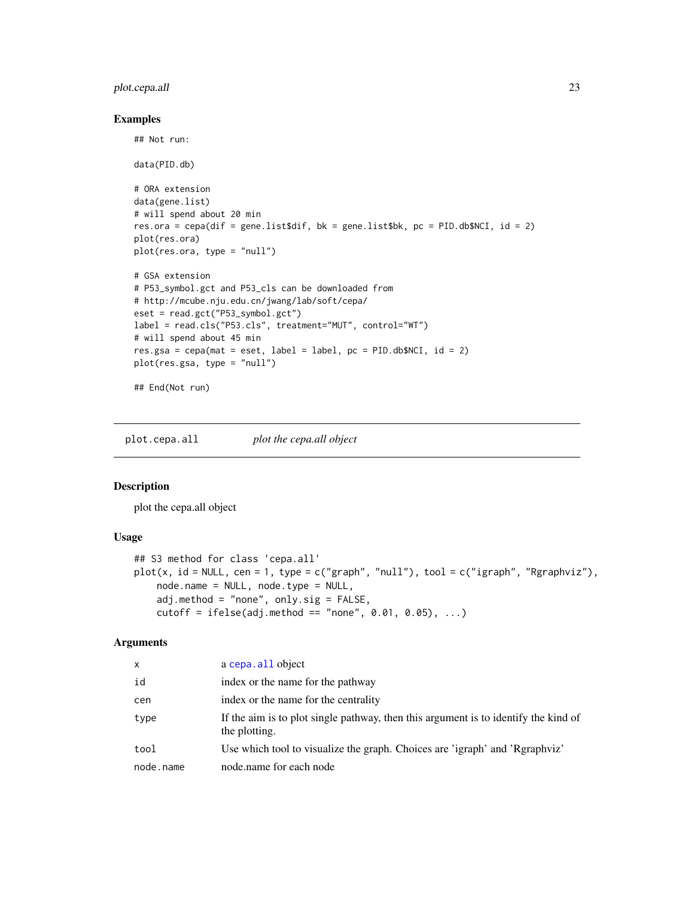## <span id="page-22-0"></span>plot.cepa.all 23

#### Examples

## Not run:

```
data(PID.db)
# ORA extension
data(gene.list)
# will spend about 20 min
res.ora = cepa(dif = gene.list$dif, bk = gene.list$bk, pc = PID.db$NCI, id = 2)
plot(res.ora)
plot(res.ora, type = "null")
# GSA extension
# P53_symbol.gct and P53_cls can be downloaded from
# http://mcube.nju.edu.cn/jwang/lab/soft/cepa/
eset = read.gct("P53_symbol.gct")
label = read.cls("P53.cls", treatment="MUT", control="WT")
# will spend about 45 min
res.gsa = cepa(mat = eset, label = label, pc = PID.db$NCI, id = 2)plot(res.gsa, type = "null")
## End(Not run)
```
<span id="page-22-1"></span>plot.cepa.all *plot the cepa.all object*

## Description

plot the cepa.all object

## Usage

```
## S3 method for class 'cepa.all'
plot(x, id = NULL, cen = 1, type = c("graph", "null"), tool = c("igraph", "Rgraphviz"),
    node.name = NULL, node.type = NULL,
    adj.method = "none", only.sig = FALSE,
    cutoff = ifelse(adj.method == "none", 0.01, 0.05), ...)
```
#### Arguments

| X         | a cepa. all object                                                                                   |
|-----------|------------------------------------------------------------------------------------------------------|
| id        | index or the name for the pathway                                                                    |
| cen       | index or the name for the centrality                                                                 |
| type      | If the aim is to plot single pathway, then this argument is to identify the kind of<br>the plotting. |
| tool      | Use which tool to visualize the graph. Choices are 'igraph' and 'Rgraphviz'                          |
| node.name | node, name for each node                                                                             |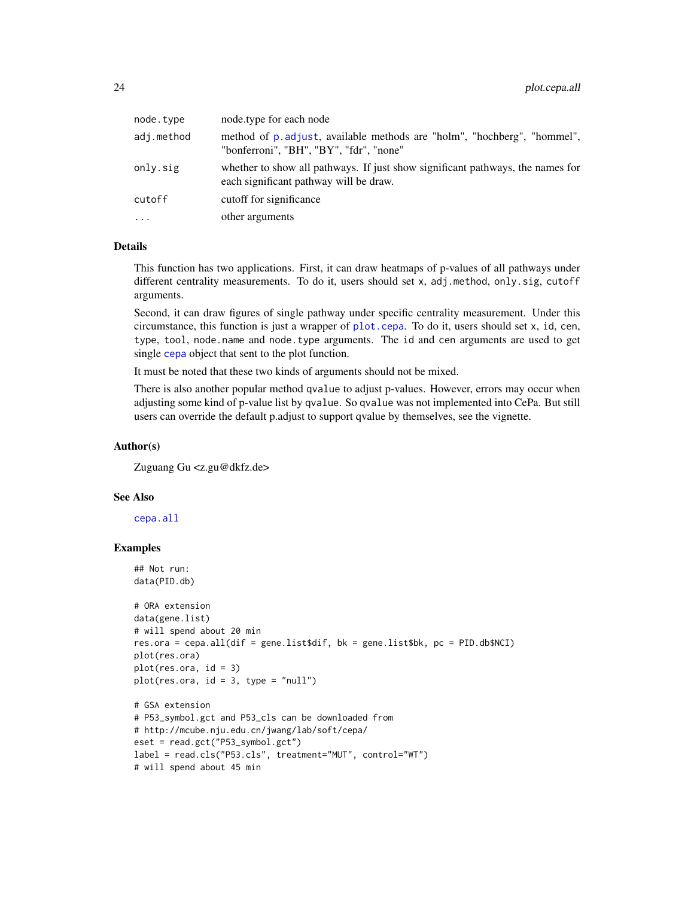<span id="page-23-0"></span>

| node.type  | node.type for each node                                                                                                  |
|------------|--------------------------------------------------------------------------------------------------------------------------|
| adj.method | method of p. adjust, available methods are "holm", "hochberg", "hommel",<br>"bonferroni", "BH", "BY", "fdr", "none"      |
| only.sig   | whether to show all pathways. If just show significant pathways, the names for<br>each significant pathway will be draw. |
| cutoff     | cutoff for significance                                                                                                  |
| $\cdots$   | other arguments                                                                                                          |
|            |                                                                                                                          |

## Details

This function has two applications. First, it can draw heatmaps of p-values of all pathways under different centrality measurements. To do it, users should set x, adj.method, only.sig, cutoff arguments.

Second, it can draw figures of single pathway under specific centrality measurement. Under this circumstance, this function is just a wrapper of [plot.cepa](#page-21-1). To do it, users should set x, id, cen, type, tool, node.name and node.type arguments. The id and cen arguments are used to get single [cepa](#page-3-1) object that sent to the plot function.

It must be noted that these two kinds of arguments should not be mixed.

There is also another popular method qvalue to adjust p-values. However, errors may occur when adjusting some kind of p-value list by qvalue. So qvalue was not implemented into CePa. But still users can override the default p.adjust to support qvalue by themselves, see the vignette.

#### Author(s)

Zuguang Gu <z.gu@dkfz.de>

# will spend about 45 min

#### See Also

[cepa.all](#page-5-1)

## Examples

```
## Not run:
data(PID.db)
# ORA extension
data(gene.list)
# will spend about 20 min
res.ora = cepa.all(dif = gene.list$dif, bk = gene.list$bk, pc = PID.db$NCI)
plot(res.ora)
plot(res.ora, id = 3)plot(res.ora, id = 3, type = "null")# GSA extension
# P53_symbol.gct and P53_cls can be downloaded from
# http://mcube.nju.edu.cn/jwang/lab/soft/cepa/
eset = read.gct("P53_symbol.gct")
label = read.cls("P53.cls", treatment="MUT", control="WT")
```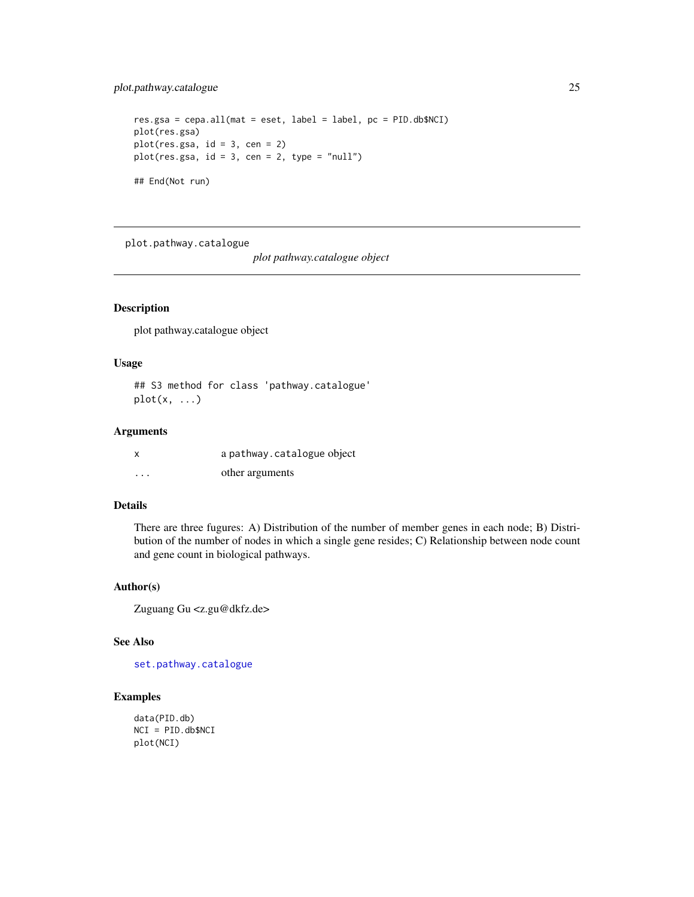## <span id="page-24-0"></span>plot.pathway.catalogue 25

```
res.gsa = cepa.all(mat = eset, label = label, pc = PID.db$NCI)
plot(res.gsa)
plot(res.gsa, id = 3, cen = 2)
plot(res.gsa, id = 3, cen = 2, type = "null")
## End(Not run)
```
<span id="page-24-1"></span>plot.pathway.catalogue

*plot pathway.catalogue object*

#### Description

plot pathway.catalogue object

#### Usage

## S3 method for class 'pathway.catalogue'  $plot(x, \ldots)$ 

## Arguments

|          | a pathway.catalogue object |
|----------|----------------------------|
| $\cdots$ | other arguments            |

## Details

There are three fugures: A) Distribution of the number of member genes in each node; B) Distribution of the number of nodes in which a single gene resides; C) Relationship between node count and gene count in biological pathways.

#### Author(s)

Zuguang Gu <z.gu@dkfz.de>

## See Also

[set.pathway.catalogue](#page-36-1)

#### Examples

```
data(PID.db)
NCI = PID.db$NCI
plot(NCI)
```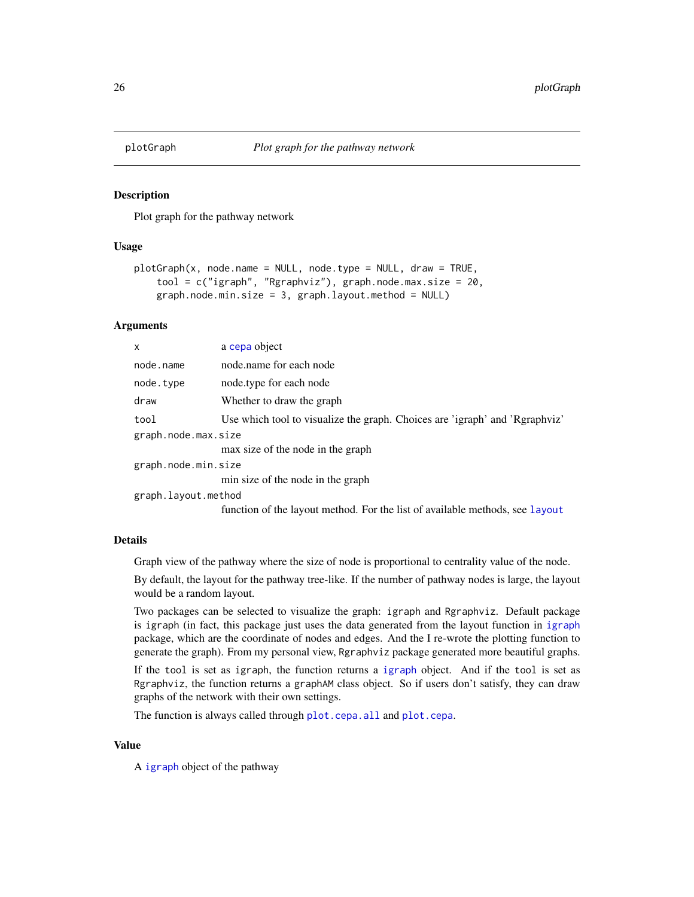<span id="page-25-1"></span><span id="page-25-0"></span>

#### Description

Plot graph for the pathway network

## Usage

```
plotGraph(x, node.name = NULL, node.type = NULL, draw = TRUE,
    tool = c("igraph", "Rgraphviz"), graph.node.max.size = 20,
    graph.node.min.size = 3, graph.layout.method = NULL)
```
#### Arguments

| x                   | a cepa object                                                                |
|---------------------|------------------------------------------------------------------------------|
| node.name           | node, name for each node                                                     |
| node.type           | node.type for each node                                                      |
| draw                | Whether to draw the graph                                                    |
| tool                | Use which tool to visualize the graph. Choices are 'igraph' and 'Rgraphviz'  |
| graph.node.max.size |                                                                              |
|                     | max size of the node in the graph                                            |
| graph.node.min.size |                                                                              |
|                     | min size of the node in the graph                                            |
| graph.layout.method |                                                                              |
|                     | function of the layout method. For the list of available methods, see layout |

#### Details

Graph view of the pathway where the size of node is proportional to centrality value of the node.

By default, the layout for the pathway tree-like. If the number of pathway nodes is large, the layout would be a random layout.

Two packages can be selected to visualize the graph: igraph and Rgraphviz. Default package is igraph (in fact, this package just uses the data generated from the layout function in [igraph](#page-0-0) package, which are the coordinate of nodes and edges. And the I re-wrote the plotting function to generate the graph). From my personal view, Rgraphviz package generated more beautiful graphs.

If the tool is set as igraph, the function returns a [igraph](#page-0-0) object. And if the tool is set as Rgraphviz, the function returns a graphAM class object. So if users don't satisfy, they can draw graphs of the network with their own settings.

The function is always called through [plot.cepa.all](#page-22-1) and [plot.cepa](#page-21-1).

#### Value

A [igraph](#page-0-0) object of the pathway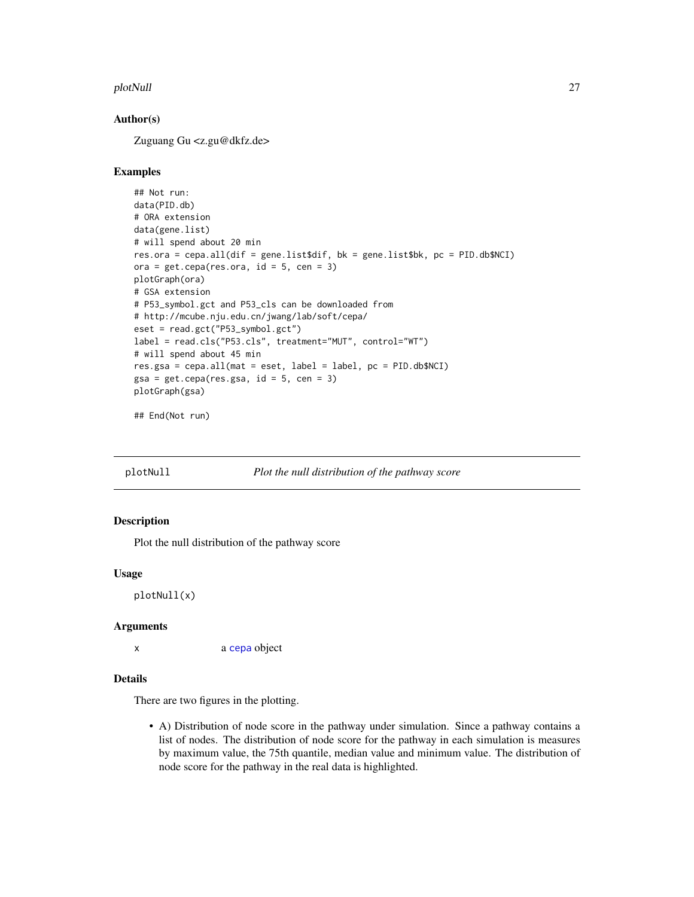#### <span id="page-26-0"></span>plotNull 27

## Author(s)

Zuguang Gu <z.gu@dkfz.de>

#### Examples

```
## Not run:
data(PID.db)
# ORA extension
data(gene.list)
# will spend about 20 min
res.ora = cepa.all(dif = gene.list$dif, bk = gene.list$bk, pc = PID.db$NCI)
ora = get.cepa(res.ora, id = 5, cen = 3)plotGraph(ora)
# GSA extension
# P53_symbol.gct and P53_cls can be downloaded from
# http://mcube.nju.edu.cn/jwang/lab/soft/cepa/
eset = read.gct("P53_symbol.gct")
label = read.cls("P53.cls", treatment="MUT", control="WT")
# will spend about 45 min
res.gsa = cepa.all(mat = eset, label = label, pc = PID.db$NCI)
gsa = get.cepa(res.s.gsa, id = 5, cen = 3)plotGraph(gsa)
```
## End(Not run)

<span id="page-26-1"></span>

plotNull *Plot the null distribution of the pathway score*

## Description

Plot the null distribution of the pathway score

#### Usage

plotNull(x)

#### Arguments

x a [cepa](#page-3-1) object

## Details

There are two figures in the plotting.

• A) Distribution of node score in the pathway under simulation. Since a pathway contains a list of nodes. The distribution of node score for the pathway in each simulation is measures by maximum value, the 75th quantile, median value and minimum value. The distribution of node score for the pathway in the real data is highlighted.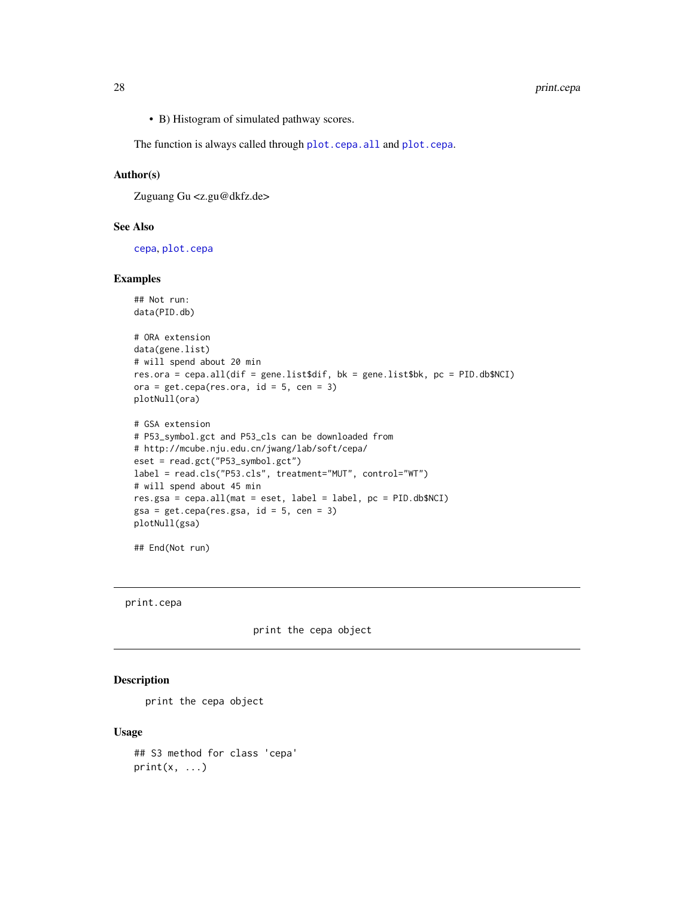<span id="page-27-0"></span>• B) Histogram of simulated pathway scores.

The function is always called through [plot.cepa.all](#page-22-1) and [plot.cepa](#page-21-1).

## Author(s)

Zuguang Gu <z.gu@dkfz.de>

#### See Also

[cepa](#page-3-1), [plot.cepa](#page-21-1)

## Examples

```
## Not run:
data(PID.db)
```

```
# ORA extension
data(gene.list)
# will spend about 20 min
res.ora = cepa.all(dif = gene.list$dif, bk = gene.list$bk, pc = PID.db$NCI)
ora = get.cepa(res.ora, id = 5, cen = 3)plotNull(ora)
```

```
# GSA extension
# P53_symbol.gct and P53_cls can be downloaded from
# http://mcube.nju.edu.cn/jwang/lab/soft/cepa/
eset = read.gct("P53_symbol.gct")
label = read.cls("P53.cls", treatment="MUT", control="WT")
# will spend about 45 min
res.gsa = cepa.all(mat = eset, label = label, pc = PID.db$NCI)
gsa = get.cepa(res.s.gsa, id = 5, cen = 3)plotNull(gsa)
```
## End(Not run)

print.cepa

print the cepa object

## Description

print the cepa object

#### Usage

```
## S3 method for class 'cepa'
print(x, \ldots)
```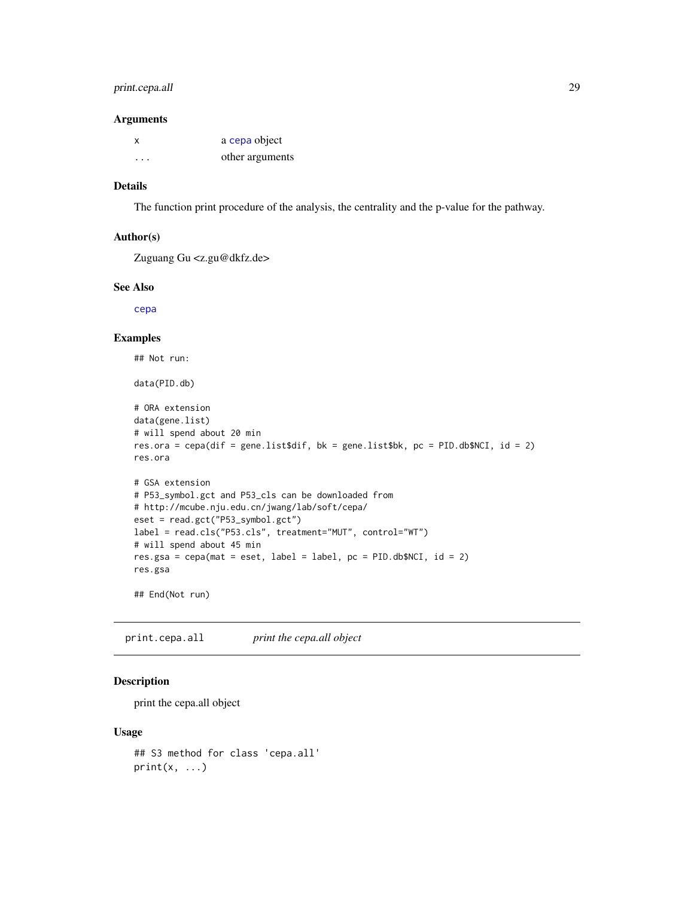## <span id="page-28-0"></span>print.cepa.all 29

#### Arguments

| X | a cepa object   |
|---|-----------------|
| . | other arguments |

## Details

The function print procedure of the analysis, the centrality and the p-value for the pathway.

## Author(s)

Zuguang Gu <z.gu@dkfz.de>

## See Also

[cepa](#page-3-1)

#### Examples

```
## Not run:
data(PID.db)
# ORA extension
data(gene.list)
# will spend about 20 min
res.ora = cepa(dif = gene.list$dif, bk = gene.list$bk, pc = PID.db$NCI, id = 2)
res.ora
# GSA extension
# P53_symbol.gct and P53_cls can be downloaded from
# http://mcube.nju.edu.cn/jwang/lab/soft/cepa/
eset = read.gct("P53_symbol.gct")
label = read.cls("P53.cls", treatment="MUT", control="WT")
# will spend about 45 min
res.gsa = cepa(mat = eset, label = label, pc = PID.db$NCI, id = 2)
res.gsa
## End(Not run)
```
print.cepa.all *print the cepa.all object*

## Description

print the cepa.all object

#### Usage

```
## S3 method for class 'cepa.all'
print(x, \ldots)
```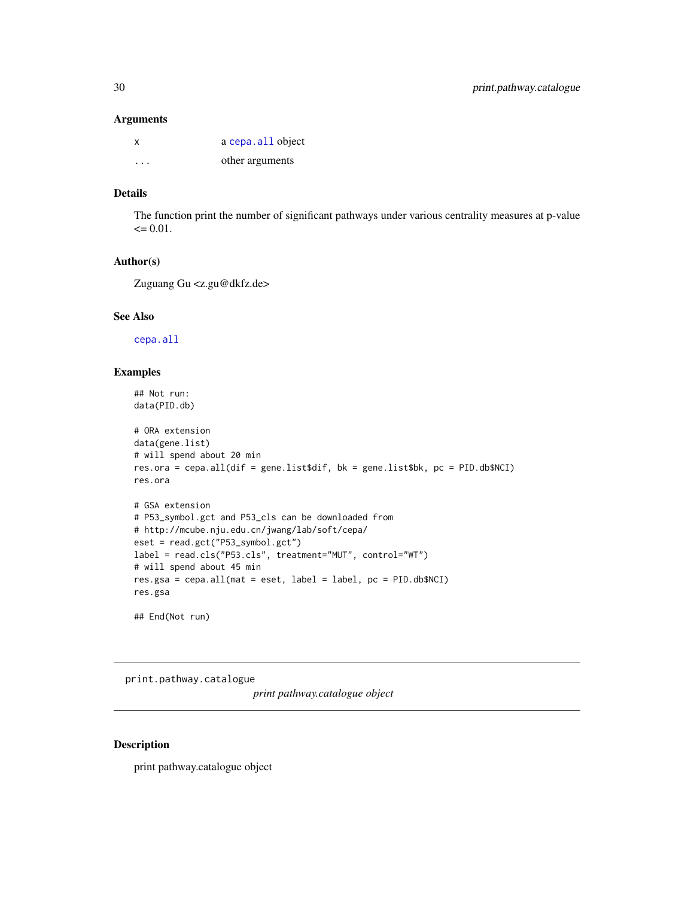#### <span id="page-29-0"></span>Arguments

| X                       | a cepa. all object |
|-------------------------|--------------------|
| $\cdot$ $\cdot$ $\cdot$ | other arguments    |

## Details

The function print the number of significant pathways under various centrality measures at p-value  $\leq 0.01$ .

## Author(s)

Zuguang Gu <z.gu@dkfz.de>

#### See Also

[cepa.all](#page-5-1)

## Examples

```
## Not run:
data(PID.db)
```

```
# ORA extension
data(gene.list)
# will spend about 20 min
res.ora = cepa.all(dif = gene.list$dif, bk = gene.list$bk, pc = PID.db$NCI)
res.ora
# GSA extension
# P53_symbol.gct and P53_cls can be downloaded from
# http://mcube.nju.edu.cn/jwang/lab/soft/cepa/
eset = read.gct("P53_symbol.gct")
label = read.cls("P53.cls", treatment="MUT", control="WT")
# will spend about 45 min
res.gsa = cepa.all(mat = eset, label = label, pc = PID.db$NCI)
res.gsa
## End(Not run)
```
print.pathway.catalogue

*print pathway.catalogue object*

#### Description

print pathway.catalogue object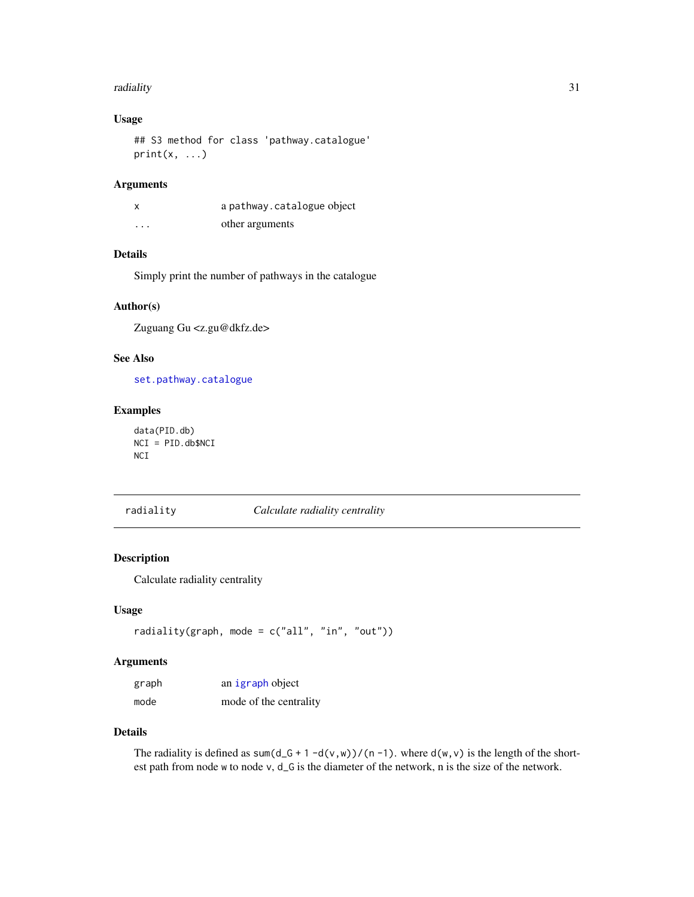#### <span id="page-30-0"></span>radiality 31

## Usage

```
## S3 method for class 'pathway.catalogue'
print(x, \ldots)
```
## Arguments

|          | a pathway.catalogue object |
|----------|----------------------------|
| $\cdots$ | other arguments            |

## Details

Simply print the number of pathways in the catalogue

## Author(s)

Zuguang Gu <z.gu@dkfz.de>

#### See Also

[set.pathway.catalogue](#page-36-1)

## Examples

```
data(PID.db)
NCI = PID.db$NCI
NCI
```
radiality *Calculate radiality centrality*

## Description

Calculate radiality centrality

## Usage

radiality(graph, mode = c("all", "in", "out"))

## Arguments

| graph | an igraph object       |
|-------|------------------------|
| mode  | mode of the centrality |

#### Details

The radiality is defined as sum(d\_G + 1 -d(v,w))/(n -1). where d(w,v) is the length of the shortest path from node w to node v, d\_G is the diameter of the network, n is the size of the network.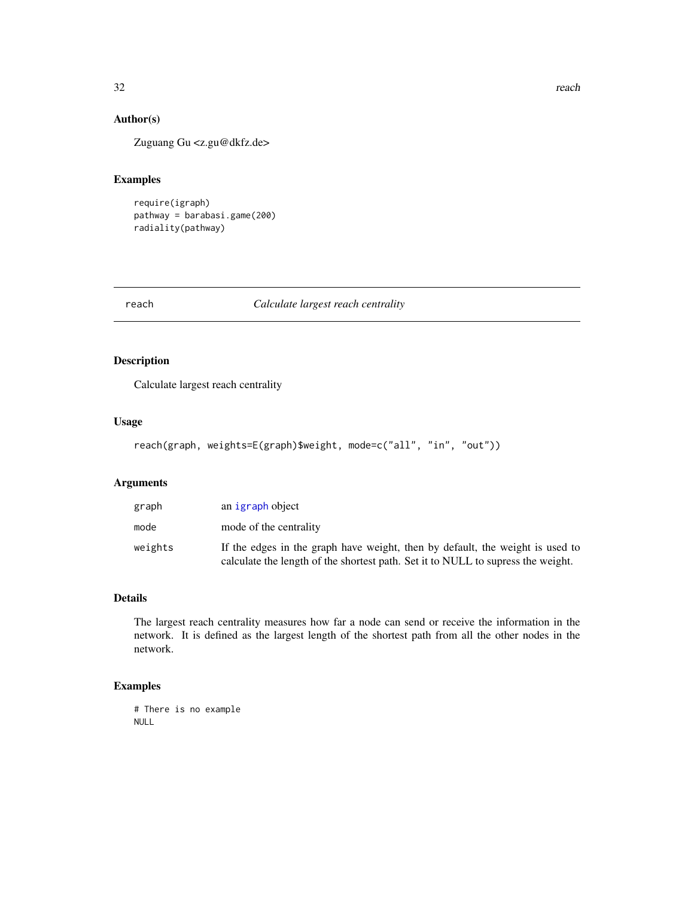## Author(s)

Zuguang Gu <z.gu@dkfz.de>

## Examples

require(igraph) pathway = barabasi.game(200) radiality(pathway)

reach *Calculate largest reach centrality*

## Description

Calculate largest reach centrality

#### Usage

```
reach(graph, weights=E(graph)$weight, mode=c("all", "in", "out"))
```
## Arguments

| graph   | an igraph object                                                                                                                                                  |
|---------|-------------------------------------------------------------------------------------------------------------------------------------------------------------------|
| mode    | mode of the centrality                                                                                                                                            |
| weights | If the edges in the graph have weight, then by default, the weight is used to<br>calculate the length of the shortest path. Set it to NULL to supress the weight. |

## Details

The largest reach centrality measures how far a node can send or receive the information in the network. It is defined as the largest length of the shortest path from all the other nodes in the network.

## Examples

# There is no example NULL

<span id="page-31-0"></span>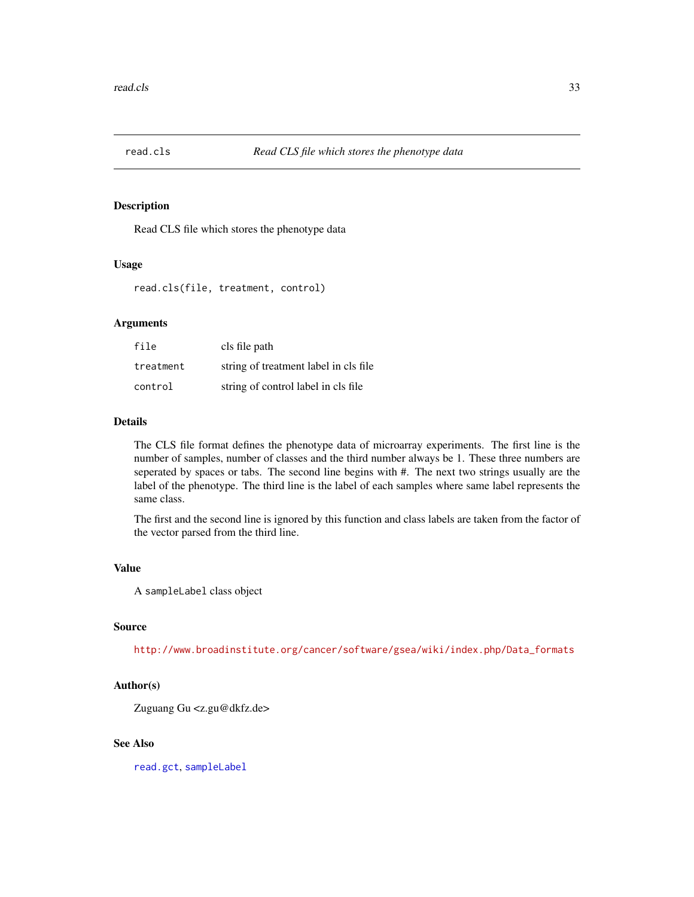<span id="page-32-0"></span>

## Description

Read CLS file which stores the phenotype data

#### Usage

read.cls(file, treatment, control)

## Arguments

| file      | cls file path                         |
|-----------|---------------------------------------|
| treatment | string of treatment label in cls file |
| control   | string of control label in cls file   |

#### Details

The CLS file format defines the phenotype data of microarray experiments. The first line is the number of samples, number of classes and the third number always be 1. These three numbers are seperated by spaces or tabs. The second line begins with #. The next two strings usually are the label of the phenotype. The third line is the label of each samples where same label represents the same class.

The first and the second line is ignored by this function and class labels are taken from the factor of the vector parsed from the third line.

#### Value

A sampleLabel class object

#### Source

[http://www.broadinstitute.org/cancer/software/gsea/wiki/index.php/Data\\_formats](http://www.broadinstitute.org/cancer/software/gsea/wiki/index.php/Data_formats)

## Author(s)

Zuguang Gu <z.gu@dkfz.de>

#### See Also

[read.gct](#page-33-1), [sampleLabel](#page-35-1)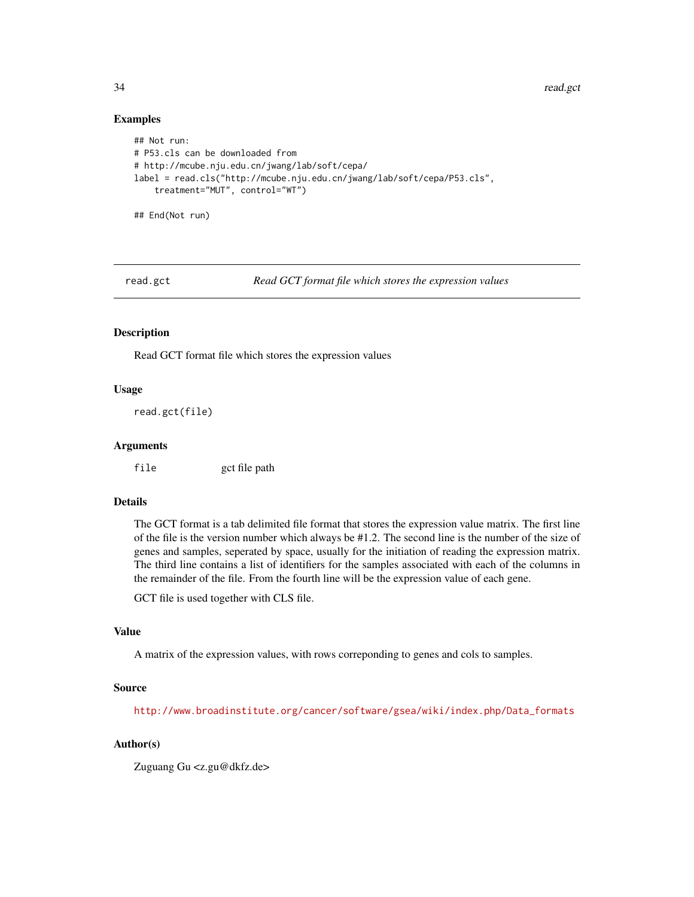34 read.gct

#### Examples

```
## Not run:
# P53.cls can be downloaded from
# http://mcube.nju.edu.cn/jwang/lab/soft/cepa/
label = read.cls("http://mcube.nju.edu.cn/jwang/lab/soft/cepa/P53.cls",
    treatment="MUT", control="WT")
## End(Not run)
```
<span id="page-33-1"></span>

read.gct *Read GCT format file which stores the expression values*

#### **Description**

Read GCT format file which stores the expression values

## Usage

read.gct(file)

#### Arguments

file gct file path

#### Details

The GCT format is a tab delimited file format that stores the expression value matrix. The first line of the file is the version number which always be #1.2. The second line is the number of the size of genes and samples, seperated by space, usually for the initiation of reading the expression matrix. The third line contains a list of identifiers for the samples associated with each of the columns in the remainder of the file. From the fourth line will be the expression value of each gene.

GCT file is used together with CLS file.

## Value

A matrix of the expression values, with rows correponding to genes and cols to samples.

#### Source

[http://www.broadinstitute.org/cancer/software/gsea/wiki/index.php/Data\\_formats](http://www.broadinstitute.org/cancer/software/gsea/wiki/index.php/Data_formats)

## Author(s)

Zuguang Gu <z.gu@dkfz.de>

<span id="page-33-0"></span>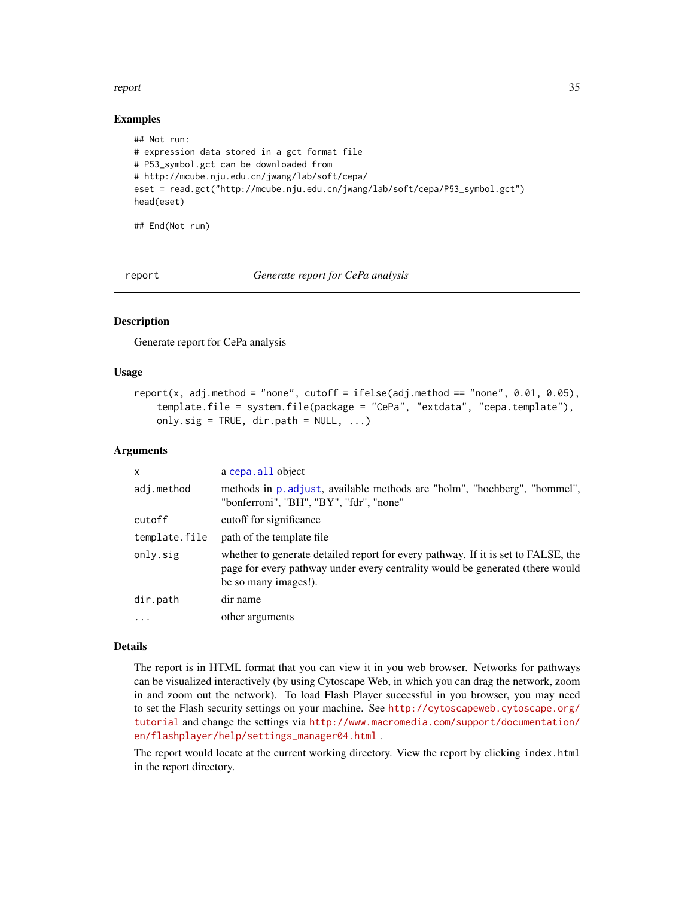#### <span id="page-34-0"></span>report 35

#### Examples

```
## Not run:
# expression data stored in a gct format file
# P53_symbol.gct can be downloaded from
# http://mcube.nju.edu.cn/jwang/lab/soft/cepa/
eset = read.gct("http://mcube.nju.edu.cn/jwang/lab/soft/cepa/P53_symbol.gct")
head(eset)
```
## End(Not run)

report *Generate report for CePa analysis*

## Description

Generate report for CePa analysis

#### Usage

```
report(x, adj.method = "none", cutoff = ifelse(adj.method == "none", 0.01, 0.05),
   template.file = system.file(package = "CePa", "extdata", "cepa.template"),
   only.sig = TRUE, dir.path = NULL, ...
```
#### **Arguments**

| X             | a cepa. all object                                                                                                                                                                         |
|---------------|--------------------------------------------------------------------------------------------------------------------------------------------------------------------------------------------|
| adj.method    | methods in p. adjust, available methods are "holm", "hochberg", "hommel",<br>"bonferroni", "BH", "BY", "fdr", "none"                                                                       |
| cutoff        | cutoff for significance                                                                                                                                                                    |
| template.file | path of the template file                                                                                                                                                                  |
| only.sig      | whether to generate detailed report for every pathway. If it is set to FALSE, the<br>page for every pathway under every centrality would be generated (there would<br>be so many images!). |
| dir.path      | dir name                                                                                                                                                                                   |
| $\cdot$       | other arguments                                                                                                                                                                            |

## Details

The report is in HTML format that you can view it in you web browser. Networks for pathways can be visualized interactively (by using Cytoscape Web, in which you can drag the network, zoom in and zoom out the network). To load Flash Player successful in you browser, you may need to set the Flash security settings on your machine. See [http://cytoscapeweb.cytoscape.org/](http://cytoscapeweb.cytoscape.org/tutorial) [tutorial](http://cytoscapeweb.cytoscape.org/tutorial) and change the settings via [http://www.macromedia.com/support/documentation/](http://www.macromedia.com/support/documentation/en/flashplayer/help/settings_manager04.html) [en/flashplayer/help/settings\\_manager04.html](http://www.macromedia.com/support/documentation/en/flashplayer/help/settings_manager04.html) .

The report would locate at the current working directory. View the report by clicking index.html in the report directory.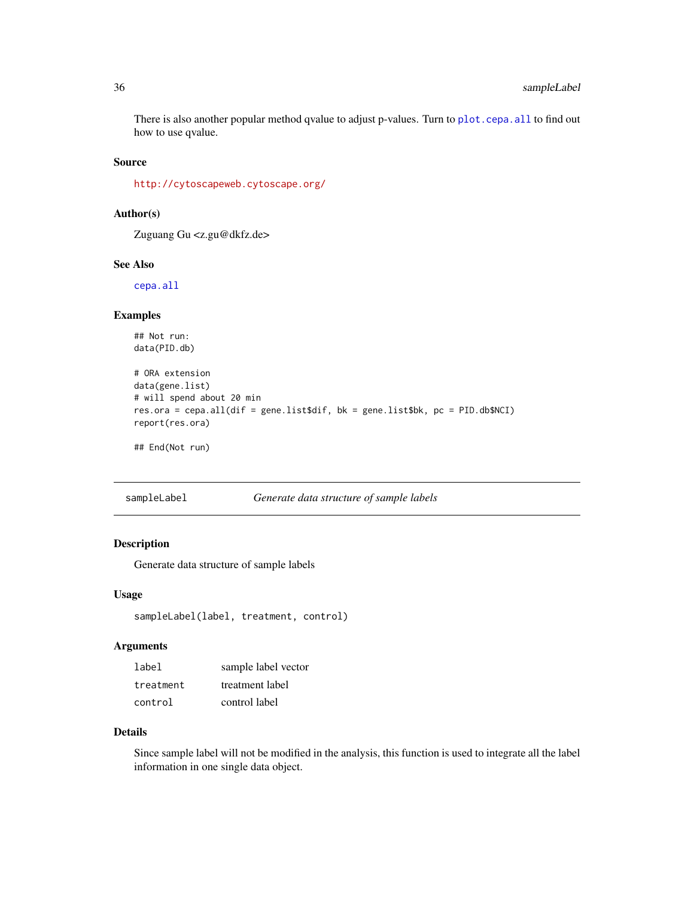<span id="page-35-0"></span>There is also another popular method qvalue to adjust p-values. Turn to [plot.cepa.all](#page-22-1) to find out how to use qvalue.

#### Source

<http://cytoscapeweb.cytoscape.org/>

## Author(s)

Zuguang Gu <z.gu@dkfz.de>

#### See Also

[cepa.all](#page-5-1)

#### Examples

```
## Not run:
data(PID.db)
```

```
# ORA extension
data(gene.list)
# will spend about 20 min
res.ora = cepa.all(dif = gene.list$dif, bk = gene.list$bk, pc = PID.db$NCI)
report(res.ora)
```
## End(Not run)

<span id="page-35-1"></span>sampleLabel *Generate data structure of sample labels*

#### Description

Generate data structure of sample labels

#### Usage

```
sampleLabel(label, treatment, control)
```
## Arguments

| label     | sample label vector |
|-----------|---------------------|
| treatment | treatment label     |
| control   | control label       |

#### Details

Since sample label will not be modified in the analysis, this function is used to integrate all the label information in one single data object.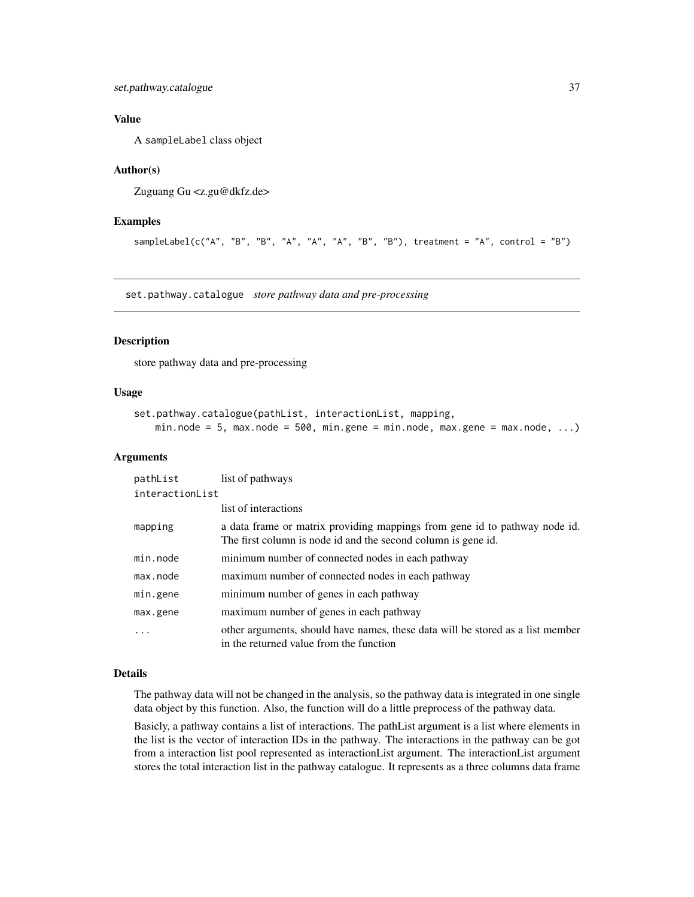## <span id="page-36-0"></span>Value

A sampleLabel class object

## Author(s)

Zuguang Gu <z.gu@dkfz.de>

#### Examples

sampleLabel(c("A", "B", "B", "A", "A", "A", "B", "B"), treatment = "A", control = "B")

<span id="page-36-1"></span>set.pathway.catalogue *store pathway data and pre-processing*

#### Description

store pathway data and pre-processing

## Usage

```
set.pathway.catalogue(pathList, interactionList, mapping,
   min.node = 5, max.node = 500, min.gene = min.node, max.gene = max.node, ...)
```
#### Arguments

| pathList        | list of pathways                                                                                                                            |  |
|-----------------|---------------------------------------------------------------------------------------------------------------------------------------------|--|
| interactionList |                                                                                                                                             |  |
|                 | list of interactions                                                                                                                        |  |
| mapping         | a data frame or matrix providing mappings from gene id to pathway node id.<br>The first column is node id and the second column is gene id. |  |
| min.node        | minimum number of connected nodes in each pathway                                                                                           |  |
| max.node        | maximum number of connected nodes in each pathway                                                                                           |  |
| min.gene        | minimum number of genes in each pathway                                                                                                     |  |
| max.gene        | maximum number of genes in each pathway                                                                                                     |  |
| .               | other arguments, should have names, these data will be stored as a list member<br>in the returned value from the function                   |  |

#### Details

The pathway data will not be changed in the analysis, so the pathway data is integrated in one single data object by this function. Also, the function will do a little preprocess of the pathway data.

Basicly, a pathway contains a list of interactions. The pathList argument is a list where elements in the list is the vector of interaction IDs in the pathway. The interactions in the pathway can be got from a interaction list pool represented as interactionList argument. The interactionList argument stores the total interaction list in the pathway catalogue. It represents as a three columns data frame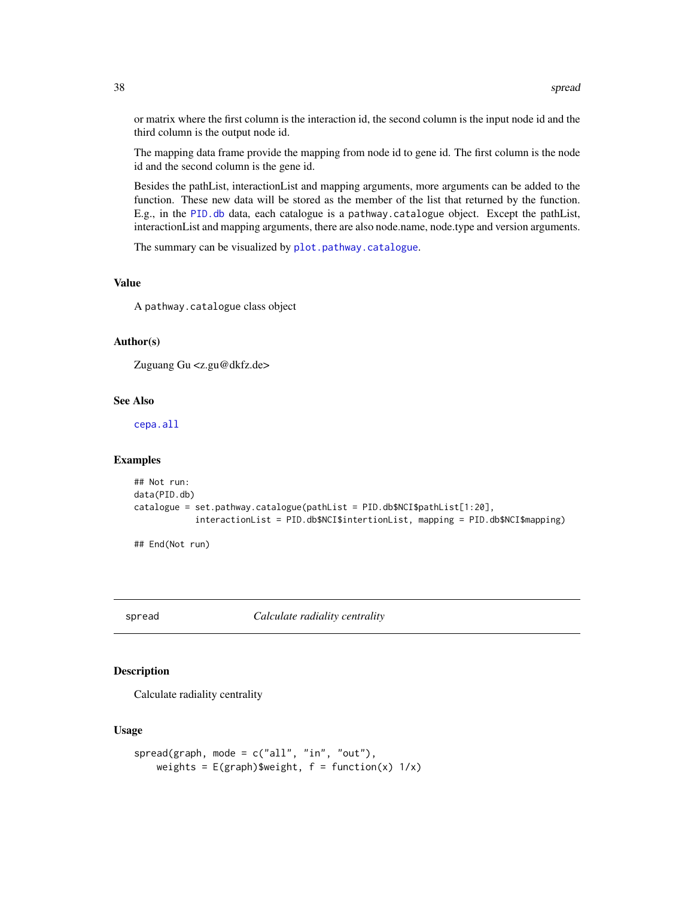or matrix where the first column is the interaction id, the second column is the input node id and the third column is the output node id.

The mapping data frame provide the mapping from node id to gene id. The first column is the node id and the second column is the gene id.

Besides the pathList, interactionList and mapping arguments, more arguments can be added to the function. These new data will be stored as the member of the list that returned by the function. E.g., in the [PID.db](#page-19-1) data, each catalogue is a pathway.catalogue object. Except the pathList, interactionList and mapping arguments, there are also node.name, node.type and version arguments.

The summary can be visualized by [plot.pathway.catalogue](#page-24-1).

## Value

A pathway.catalogue class object

## Author(s)

Zuguang Gu <z.gu@dkfz.de>

#### See Also

[cepa.all](#page-5-1)

#### Examples

```
## Not run:
data(PID.db)
catalogue = set.pathway.catalogue(pathList = PID.db$NCI$pathList[1:20],
            interactionList = PID.db$NCI$intertionList, mapping = PID.db$NCI$mapping)
```
## End(Not run)

spread *Calculate radiality centrality*

## Description

Calculate radiality centrality

## Usage

```
spread(graph, mode = c("all", "in", "out"),weights = E(\text{graph})$weight, f = function(x) 1/x)
```
<span id="page-37-0"></span>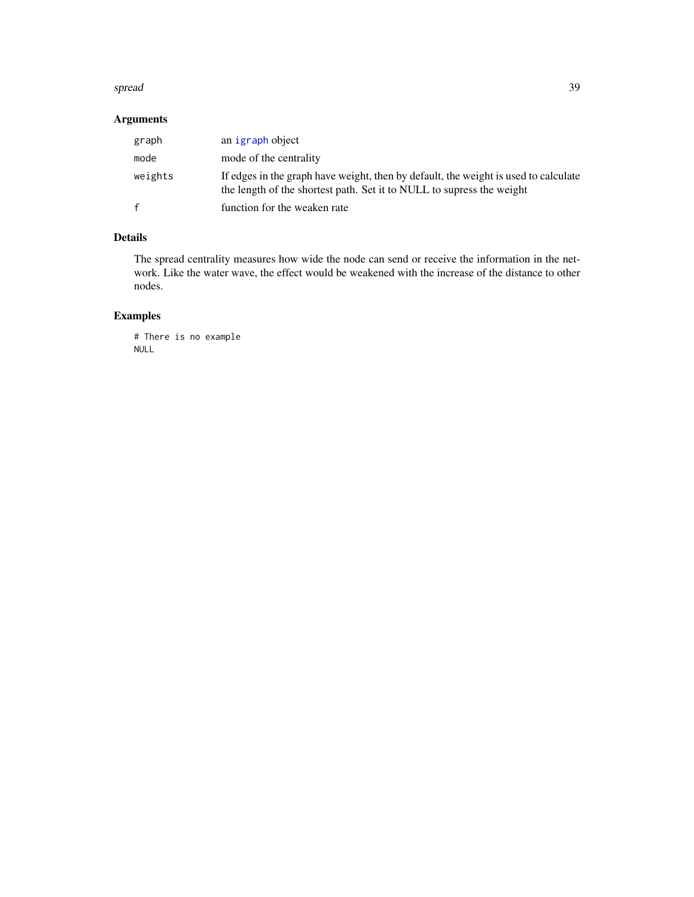#### <span id="page-38-0"></span>spread 39

## Arguments

| graph   | an igraph object                                                                                                                                             |
|---------|--------------------------------------------------------------------------------------------------------------------------------------------------------------|
| mode    | mode of the centrality                                                                                                                                       |
| weights | If edges in the graph have weight, then by default, the weight is used to calculate<br>the length of the shortest path. Set it to NULL to supress the weight |
| f       | function for the weaken rate                                                                                                                                 |

## Details

The spread centrality measures how wide the node can send or receive the information in the network. Like the water wave, the effect would be weakened with the increase of the distance to other nodes.

## Examples

```
# There is no example
NULL
```